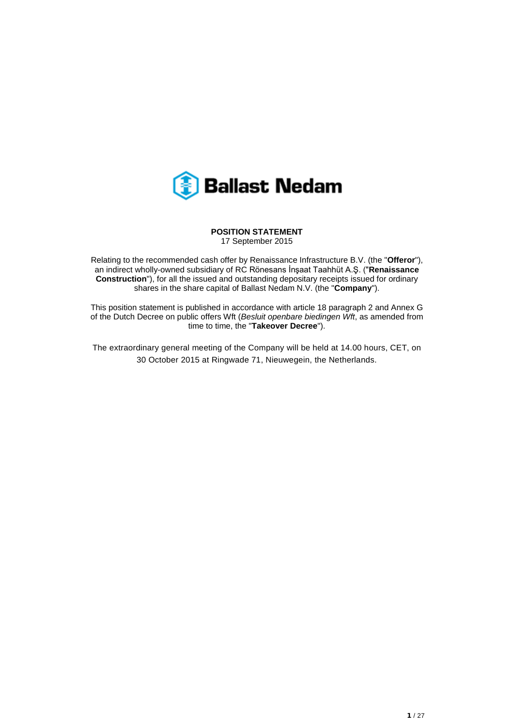

### **POSITION STATEMENT** 17 September 2015

Relating to the recommended cash offer by Renaissance Infrastructure B.V. (the "**Offeror**"), an indirect wholly-owned subsidiary of RC Rönesans İnşaat Taahhüt A.Ş. ("**Renaissance Construction**"), for all the issued and outstanding depositary receipts issued for ordinary shares in the share capital of Ballast Nedam N.V. (the "**Company**").

This position statement is published in accordance with article 18 paragraph 2 and Annex G of the Dutch Decree on public offers Wft (*Besluit openbare biedingen Wft*, as amended from time to time, the "**Takeover Decree**").

The extraordinary general meeting of the Company will be held at 14.00 hours, CET, on 30 October 2015 at Ringwade 71, Nieuwegein, the Netherlands.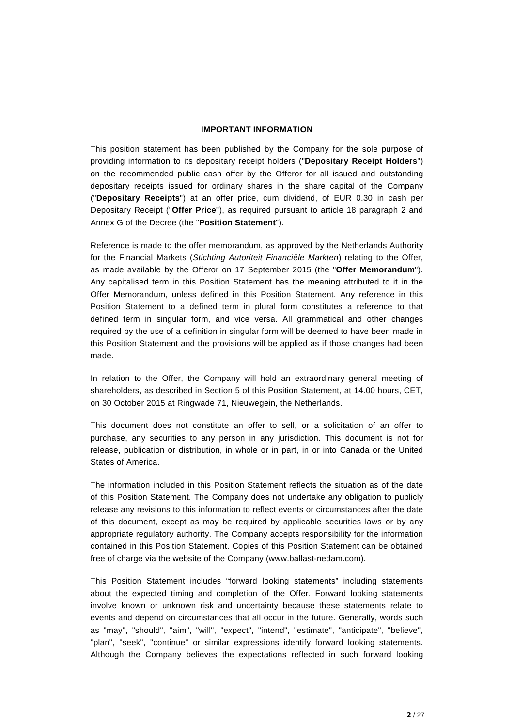## **IMPORTANT INFORMATION**

This position statement has been published by the Company for the sole purpose of providing information to its depositary receipt holders ("**Depositary Receipt Holders**") on the recommended public cash offer by the Offeror for all issued and outstanding depositary receipts issued for ordinary shares in the share capital of the Company ("**Depositary Receipts**") at an offer price, cum dividend, of EUR 0.30 in cash per Depositary Receipt ("**Offer Price**"), as required pursuant to article 18 paragraph 2 and Annex G of the Decree (the "**Position Statement**").

Reference is made to the offer memorandum, as approved by the Netherlands Authority for the Financial Markets (*Stichting Autoriteit Financiële Markten*) relating to the Offer, as made available by the Offeror on 17 September 2015 (the "**Offer Memorandum**"). Any capitalised term in this Position Statement has the meaning attributed to it in the Offer Memorandum, unless defined in this Position Statement. Any reference in this Position Statement to a defined term in plural form constitutes a reference to that defined term in singular form, and vice versa. All grammatical and other changes required by the use of a definition in singular form will be deemed to have been made in this Position Statement and the provisions will be applied as if those changes had been made.

In relation to the Offer, the Company will hold an extraordinary general meeting of shareholders, as described in Section 5 of this Position Statement, at 14.00 hours, CET, on 30 October 2015 at Ringwade 71, Nieuwegein, the Netherlands.

This document does not constitute an offer to sell, or a solicitation of an offer to purchase, any securities to any person in any jurisdiction. This document is not for release, publication or distribution, in whole or in part, in or into Canada or the United States of America.

The information included in this Position Statement reflects the situation as of the date of this Position Statement. The Company does not undertake any obligation to publicly release any revisions to this information to reflect events or circumstances after the date of this document, except as may be required by applicable securities laws or by any appropriate regulatory authority. The Company accepts responsibility for the information contained in this Position Statement. Copies of this Position Statement can be obtained free of charge via the website of the Company (www.ballast-nedam.com).

This Position Statement includes "forward looking statements" including statements about the expected timing and completion of the Offer. Forward looking statements involve known or unknown risk and uncertainty because these statements relate to events and depend on circumstances that all occur in the future. Generally, words such as "may", "should", "aim", "will", "expect", "intend", "estimate", "anticipate", "believe", "plan", "seek", "continue" or similar expressions identify forward looking statements. Although the Company believes the expectations reflected in such forward looking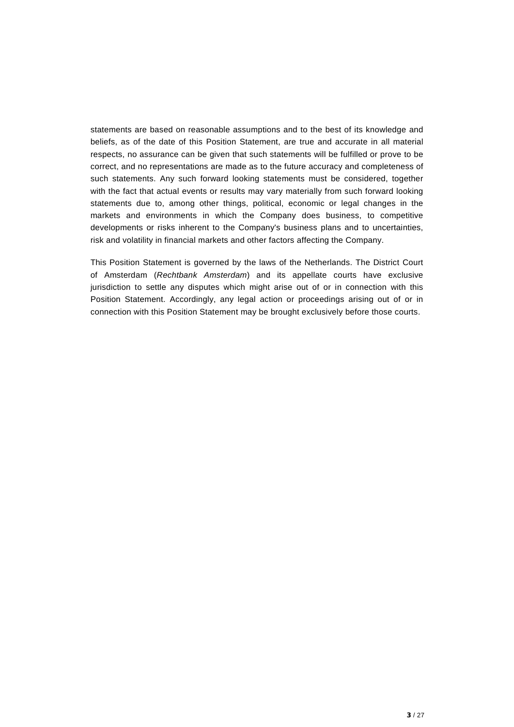statements are based on reasonable assumptions and to the best of its knowledge and beliefs, as of the date of this Position Statement, are true and accurate in all material respects, no assurance can be given that such statements will be fulfilled or prove to be correct, and no representations are made as to the future accuracy and completeness of such statements. Any such forward looking statements must be considered, together with the fact that actual events or results may vary materially from such forward looking statements due to, among other things, political, economic or legal changes in the markets and environments in which the Company does business, to competitive developments or risks inherent to the Company's business plans and to uncertainties, risk and volatility in financial markets and other factors affecting the Company.

This Position Statement is governed by the laws of the Netherlands. The District Court of Amsterdam (*Rechtbank Amsterdam*) and its appellate courts have exclusive jurisdiction to settle any disputes which might arise out of or in connection with this Position Statement. Accordingly, any legal action or proceedings arising out of or in connection with this Position Statement may be brought exclusively before those courts.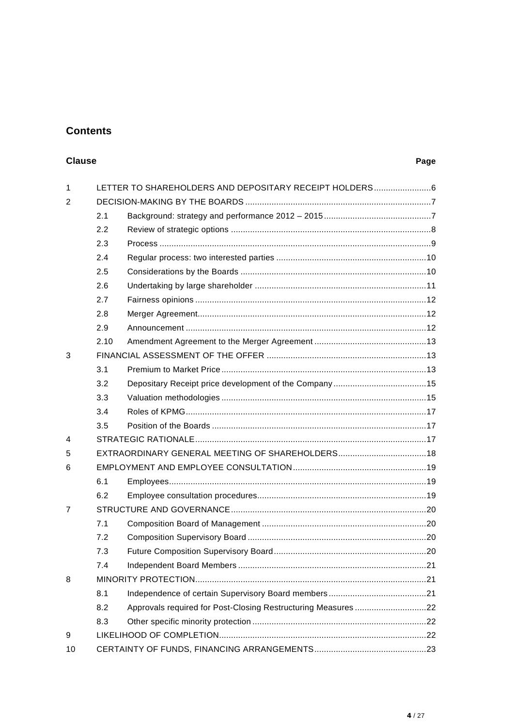# **Contents**

# **Clause**

## Page

| $\mathbf{1}$ |      | LETTER TO SHAREHOLDERS AND DEPOSITARY RECEIPT HOLDERS6       |     |  |
|--------------|------|--------------------------------------------------------------|-----|--|
| 2            |      |                                                              |     |  |
|              | 2.1  |                                                              |     |  |
|              | 2.2  |                                                              |     |  |
|              | 2.3  |                                                              |     |  |
|              | 2.4  |                                                              |     |  |
|              | 2.5  |                                                              |     |  |
|              | 2.6  |                                                              |     |  |
|              | 2.7  |                                                              |     |  |
|              | 2.8  |                                                              |     |  |
|              | 2.9  |                                                              |     |  |
|              | 2.10 |                                                              |     |  |
| 3            |      |                                                              |     |  |
|              | 3.1  |                                                              |     |  |
|              | 3.2  |                                                              |     |  |
|              | 3.3  |                                                              |     |  |
|              | 3.4  |                                                              |     |  |
|              | 3.5  |                                                              |     |  |
| 4            |      |                                                              |     |  |
| 5            |      |                                                              |     |  |
| 6            |      |                                                              |     |  |
|              | 6.1  |                                                              |     |  |
|              | 6.2  |                                                              |     |  |
| 7            |      |                                                              |     |  |
|              | 7.1  |                                                              |     |  |
|              | 7.2  |                                                              |     |  |
|              | 7.3  |                                                              |     |  |
|              | 7.4  |                                                              | .21 |  |
| 8            |      |                                                              |     |  |
|              | 8.1  |                                                              |     |  |
|              | 8.2  | Approvals required for Post-Closing Restructuring Measures22 |     |  |
|              | 8.3  |                                                              |     |  |
| 9            |      |                                                              |     |  |
| 10           |      |                                                              |     |  |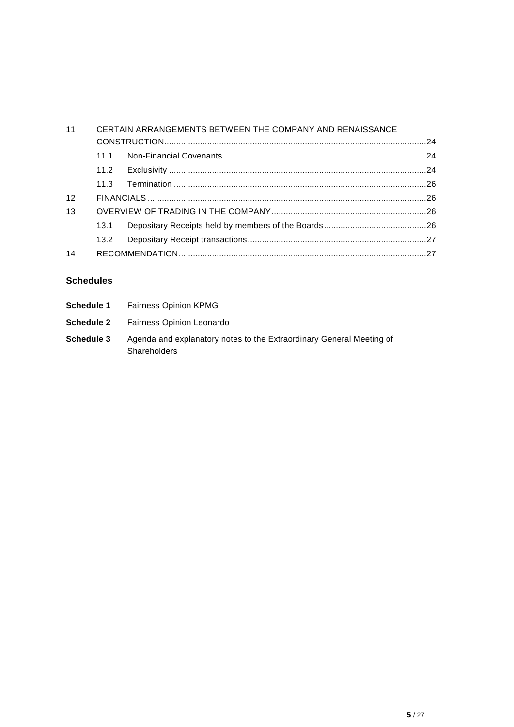| 11 |      | CERTAIN ARRANGEMENTS BETWEEN THE COMPANY AND RENAISSANCE |  |
|----|------|----------------------------------------------------------|--|
|    |      |                                                          |  |
|    | 111  |                                                          |  |
|    |      |                                                          |  |
|    |      |                                                          |  |
| 12 |      |                                                          |  |
| 13 |      |                                                          |  |
|    | 13.1 |                                                          |  |
|    |      |                                                          |  |
| 14 |      |                                                          |  |

# **Schedules**

|            | <b>Schedule 1</b> Fairness Opinion KPMG                                                     |
|------------|---------------------------------------------------------------------------------------------|
|            | <b>Schedule 2</b> Fairness Opinion Leonardo                                                 |
| Schedule 3 | Agenda and explanatory notes to the Extraordinary General Meeting of<br><b>Shareholders</b> |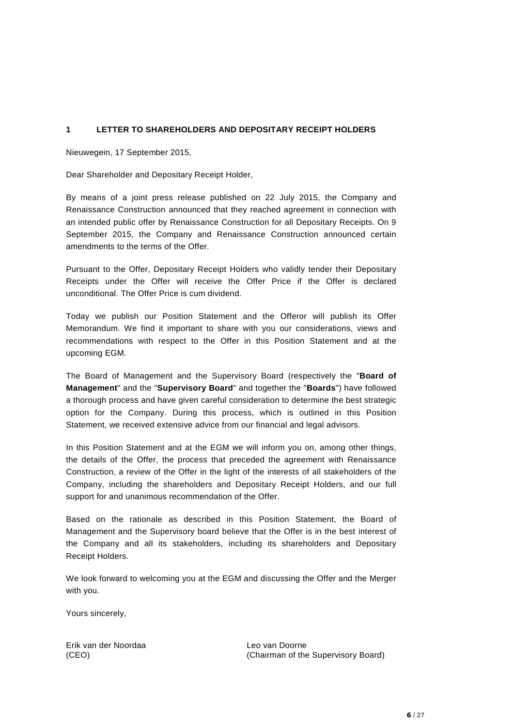## <span id="page-5-0"></span>**1 LETTER TO SHAREHOLDERS AND DEPOSITARY RECEIPT HOLDERS**

Nieuwegein, 17 September 2015,

Dear Shareholder and Depositary Receipt Holder,

By means of a joint press release published on 22 July 2015, the Company and Renaissance Construction announced that they reached agreement in connection with an intended public offer by Renaissance Construction for all Depositary Receipts. On 9 September 2015, the Company and Renaissance Construction announced certain amendments to the terms of the Offer.

Pursuant to the Offer, Depositary Receipt Holders who validly tender their Depositary Receipts under the Offer will receive the Offer Price if the Offer is declared unconditional. The Offer Price is cum dividend.

Today we publish our Position Statement and the Offeror will publish its Offer Memorandum. We find it important to share with you our considerations, views and recommendations with respect to the Offer in this Position Statement and at the upcoming EGM.

The Board of Management and the Supervisory Board (respectively the "**Board of Management**" and the "**Supervisory Board**" and together the "**Boards**") have followed a thorough process and have given careful consideration to determine the best strategic option for the Company. During this process, which is outlined in this Position Statement, we received extensive advice from our financial and legal advisors.

In this Position Statement and at the EGM we will inform you on, among other things, the details of the Offer, the process that preceded the agreement with Renaissance Construction, a review of the Offer in the light of the interests of all stakeholders of the Company, including the shareholders and Depositary Receipt Holders, and our full support for and unanimous recommendation of the Offer.

Based on the rationale as described in this Position Statement, the Board of Management and the Supervisory board believe that the Offer is in the best interest of the Company and all its stakeholders, including its shareholders and Depositary Receipt Holders.

We look forward to welcoming you at the EGM and discussing the Offer and the Merger with you.

Yours sincerely,

Erik van der Noordaa (CEO)

Leo van Doorne (Chairman of the Supervisory Board)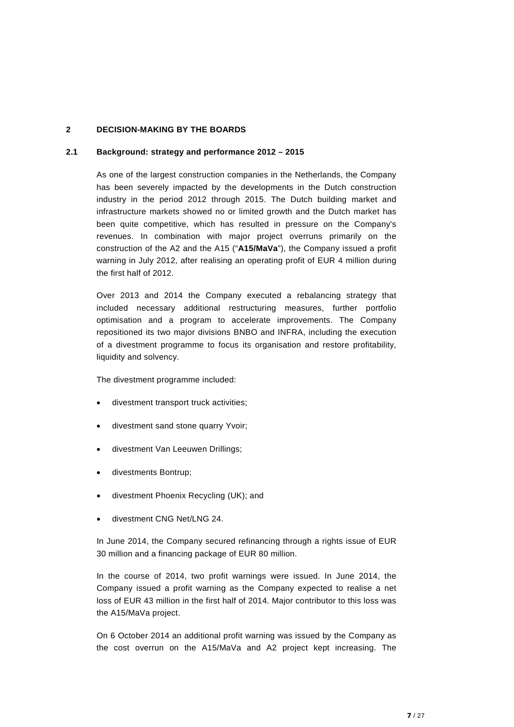## <span id="page-6-0"></span>**2 DECISION-MAKING BY THE BOARDS**

## <span id="page-6-1"></span>**2.1 Background: strategy and performance 2012 – 2015**

As one of the largest construction companies in the Netherlands, the Company has been severely impacted by the developments in the Dutch construction industry in the period 2012 through 2015. The Dutch building market and infrastructure markets showed no or limited growth and the Dutch market has been quite competitive, which has resulted in pressure on the Company's revenues. In combination with major project overruns primarily on the construction of the A2 and the A15 ("**A15/MaVa**"), the Company issued a profit warning in July 2012, after realising an operating profit of EUR 4 million during the first half of 2012.

Over 2013 and 2014 the Company executed a rebalancing strategy that included necessary additional restructuring measures, further portfolio optimisation and a program to accelerate improvements. The Company repositioned its two major divisions BNBO and INFRA, including the execution of a divestment programme to focus its organisation and restore profitability, liquidity and solvency.

The divestment programme included:

- divestment transport truck activities;
- divestment sand stone quarry Yvoir;
- divestment Van Leeuwen Drillings;
- divestments Bontrup;
- divestment Phoenix Recycling (UK); and
- divestment CNG Net/LNG 24.

In June 2014, the Company secured refinancing through a rights issue of EUR 30 million and a financing package of EUR 80 million.

In the course of 2014, two profit warnings were issued. In June 2014, the Company issued a profit warning as the Company expected to realise a net loss of EUR 43 million in the first half of 2014. Major contributor to this loss was the A15/MaVa project.

On 6 October 2014 an additional profit warning was issued by the Company as the cost overrun on the A15/MaVa and A2 project kept increasing. The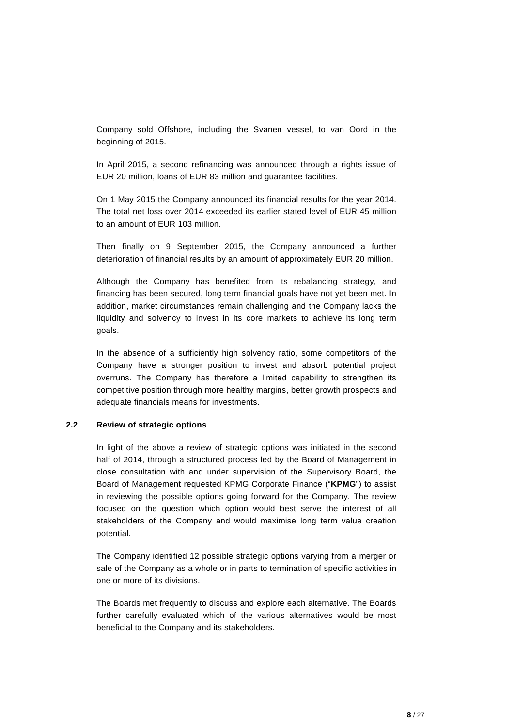Company sold Offshore, including the Svanen vessel, to van Oord in the beginning of 2015.

In April 2015, a second refinancing was announced through a rights issue of EUR 20 million, loans of EUR 83 million and guarantee facilities.

On 1 May 2015 the Company announced its financial results for the year 2014. The total net loss over 2014 exceeded its earlier stated level of EUR 45 million to an amount of EUR 103 million.

Then finally on 9 September 2015, the Company announced a further deterioration of financial results by an amount of approximately EUR 20 million.

Although the Company has benefited from its rebalancing strategy, and financing has been secured, long term financial goals have not yet been met. In addition, market circumstances remain challenging and the Company lacks the liquidity and solvency to invest in its core markets to achieve its long term goals.

In the absence of a sufficiently high solvency ratio, some competitors of the Company have a stronger position to invest and absorb potential project overruns. The Company has therefore a limited capability to strengthen its competitive position through more healthy margins, better growth prospects and adequate financials means for investments.

#### <span id="page-7-0"></span>**2.2 Review of strategic options**

In light of the above a review of strategic options was initiated in the second half of 2014, through a structured process led by the Board of Management in close consultation with and under supervision of the Supervisory Board, the Board of Management requested KPMG Corporate Finance ("**KPMG**") to assist in reviewing the possible options going forward for the Company. The review focused on the question which option would best serve the interest of all stakeholders of the Company and would maximise long term value creation potential.

The Company identified 12 possible strategic options varying from a merger or sale of the Company as a whole or in parts to termination of specific activities in one or more of its divisions.

The Boards met frequently to discuss and explore each alternative. The Boards further carefully evaluated which of the various alternatives would be most beneficial to the Company and its stakeholders.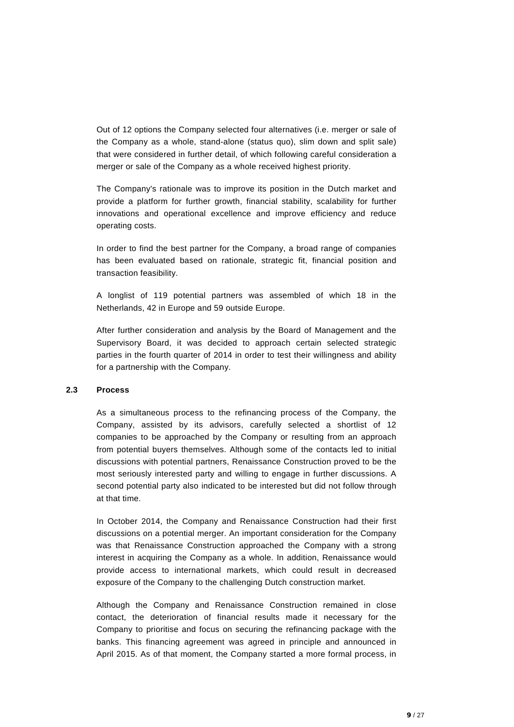Out of 12 options the Company selected four alternatives (i.e. merger or sale of the Company as a whole, stand-alone (status quo), slim down and split sale) that were considered in further detail, of which following careful consideration a merger or sale of the Company as a whole received highest priority.

The Company's rationale was to improve its position in the Dutch market and provide a platform for further growth, financial stability, scalability for further innovations and operational excellence and improve efficiency and reduce operating costs.

In order to find the best partner for the Company, a broad range of companies has been evaluated based on rationale, strategic fit, financial position and transaction feasibility.

A longlist of 119 potential partners was assembled of which 18 in the Netherlands, 42 in Europe and 59 outside Europe.

After further consideration and analysis by the Board of Management and the Supervisory Board, it was decided to approach certain selected strategic parties in the fourth quarter of 2014 in order to test their willingness and ability for a partnership with the Company.

#### <span id="page-8-0"></span>**2.3 Process**

As a simultaneous process to the refinancing process of the Company, the Company, assisted by its advisors, carefully selected a shortlist of 12 companies to be approached by the Company or resulting from an approach from potential buyers themselves. Although some of the contacts led to initial discussions with potential partners, Renaissance Construction proved to be the most seriously interested party and willing to engage in further discussions. A second potential party also indicated to be interested but did not follow through at that time.

In October 2014, the Company and Renaissance Construction had their first discussions on a potential merger. An important consideration for the Company was that Renaissance Construction approached the Company with a strong interest in acquiring the Company as a whole. In addition, Renaissance would provide access to international markets, which could result in decreased exposure of the Company to the challenging Dutch construction market.

Although the Company and Renaissance Construction remained in close contact, the deterioration of financial results made it necessary for the Company to prioritise and focus on securing the refinancing package with the banks. This financing agreement was agreed in principle and announced in April 2015. As of that moment, the Company started a more formal process, in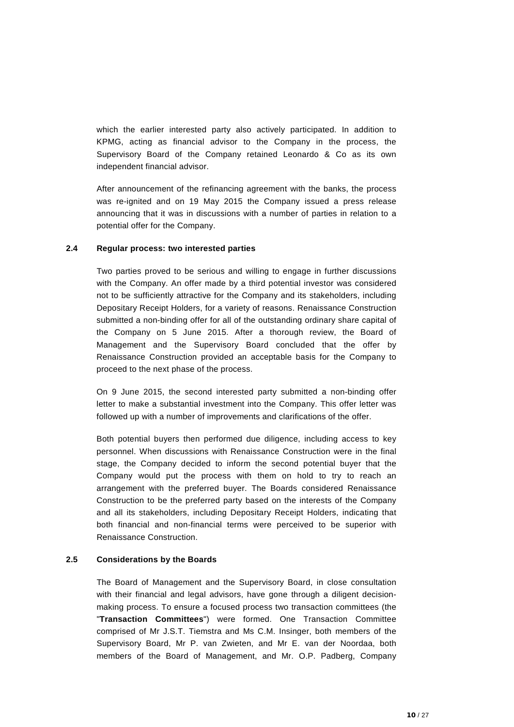which the earlier interested party also actively participated. In addition to KPMG, acting as financial advisor to the Company in the process, the Supervisory Board of the Company retained Leonardo & Co as its own independent financial advisor.

After announcement of the refinancing agreement with the banks, the process was re-ignited and on 19 May 2015 the Company issued a press release announcing that it was in discussions with a number of parties in relation to a potential offer for the Company.

#### <span id="page-9-0"></span>**2.4 Regular process: two interested parties**

Two parties proved to be serious and willing to engage in further discussions with the Company. An offer made by a third potential investor was considered not to be sufficiently attractive for the Company and its stakeholders, including Depositary Receipt Holders, for a variety of reasons. Renaissance Construction submitted a non-binding offer for all of the outstanding ordinary share capital of the Company on 5 June 2015. After a thorough review, the Board of Management and the Supervisory Board concluded that the offer by Renaissance Construction provided an acceptable basis for the Company to proceed to the next phase of the process.

On 9 June 2015, the second interested party submitted a non-binding offer letter to make a substantial investment into the Company. This offer letter was followed up with a number of improvements and clarifications of the offer.

Both potential buyers then performed due diligence, including access to key personnel. When discussions with Renaissance Construction were in the final stage, the Company decided to inform the second potential buyer that the Company would put the process with them on hold to try to reach an arrangement with the preferred buyer. The Boards considered Renaissance Construction to be the preferred party based on the interests of the Company and all its stakeholders, including Depositary Receipt Holders, indicating that both financial and non-financial terms were perceived to be superior with Renaissance Construction.

## <span id="page-9-1"></span>**2.5 Considerations by the Boards**

The Board of Management and the Supervisory Board, in close consultation with their financial and legal advisors, have gone through a diligent decisionmaking process. To ensure a focused process two transaction committees (the "**Transaction Committees**") were formed. One Transaction Committee comprised of Mr J.S.T. Tiemstra and Ms C.M. Insinger, both members of the Supervisory Board, Mr P. van Zwieten, and Mr E. van der Noordaa, both members of the Board of Management, and Mr. O.P. Padberg, Company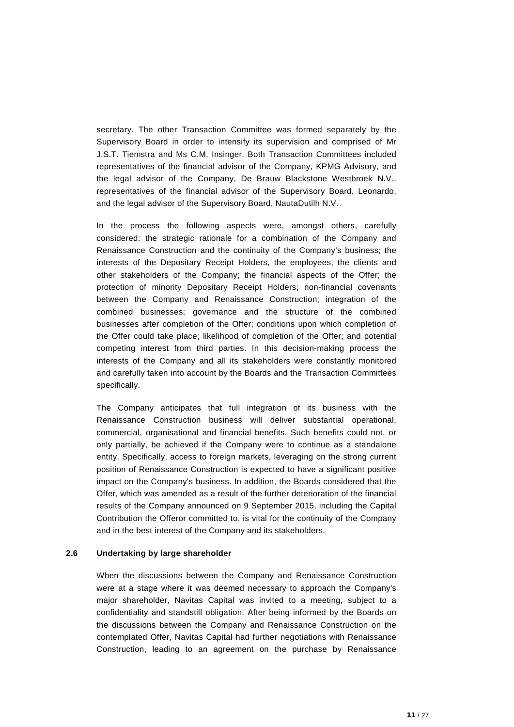secretary. The other Transaction Committee was formed separately by the Supervisory Board in order to intensify its supervision and comprised of Mr J.S.T. Tiemstra and Ms C.M. Insinger. Both Transaction Committees included representatives of the financial advisor of the Company, KPMG Advisory, and the legal advisor of the Company, De Brauw Blackstone Westbroek N.V., representatives of the financial advisor of the Supervisory Board, Leonardo, and the legal advisor of the Supervisory Board, NautaDutilh N.V.

In the process the following aspects were, amongst others, carefully considered: the strategic rationale for a combination of the Company and Renaissance Construction and the continuity of the Company's business; the interests of the Depositary Receipt Holders, the employees, the clients and other stakeholders of the Company; the financial aspects of the Offer; the protection of minority Depositary Receipt Holders; non-financial covenants between the Company and Renaissance Construction; integration of the combined businesses; governance and the structure of the combined businesses after completion of the Offer; conditions upon which completion of the Offer could take place; likelihood of completion of the Offer; and potential competing interest from third parties. In this decision-making process the interests of the Company and all its stakeholders were constantly monitored and carefully taken into account by the Boards and the Transaction Committees specifically.

The Company anticipates that full integration of its business with the Renaissance Construction business will deliver substantial operational, commercial, organisational and financial benefits. Such benefits could not, or only partially, be achieved if the Company were to continue as a standalone entity. Specifically, access to foreign markets, leveraging on the strong current position of Renaissance Construction is expected to have a significant positive impact on the Company's business. In addition, the Boards considered that the Offer, which was amended as a result of the further deterioration of the financial results of the Company announced on 9 September 2015, including the Capital Contribution the Offeror committed to, is vital for the continuity of the Company and in the best interest of the Company and its stakeholders.

## <span id="page-10-0"></span>**2.6 Undertaking by large shareholder**

When the discussions between the Company and Renaissance Construction were at a stage where it was deemed necessary to approach the Company's major shareholder, Navitas Capital was invited to a meeting, subject to a confidentiality and standstill obligation. After being informed by the Boards on the discussions between the Company and Renaissance Construction on the contemplated Offer, Navitas Capital had further negotiations with Renaissance Construction, leading to an agreement on the purchase by Renaissance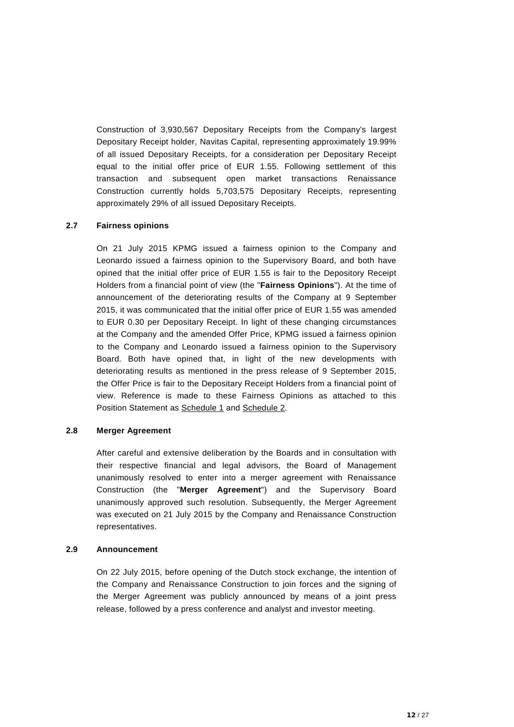Construction of 3,930,567 Depositary Receipts from the Company's largest Depositary Receipt holder, Navitas Capital, representing approximately 19.99% of all issued Depositary Receipts, for a consideration per Depositary Receipt equal to the initial offer price of EUR 1.55. Following settlement of this transaction and subsequent open market transactions Renaissance Construction currently holds 5,703,575 Depositary Receipts, representing approximately 29% of all issued Depositary Receipts.

## <span id="page-11-0"></span>**2.7 Fairness opinions**

On 21 July 2015 KPMG issued a fairness opinion to the Company and Leonardo issued a fairness opinion to the Supervisory Board, and both have opined that the initial offer price of EUR 1.55 is fair to the Depository Receipt Holders from a financial point of view (the "**Fairness Opinions**"). At the time of announcement of the deteriorating results of the Company at 9 September 2015, it was communicated that the initial offer price of EUR 1.55 was amended to EUR 0.30 per Depositary Receipt. In light of these changing circumstances at the Company and the amended Offer Price, KPMG issued a fairness opinion to the Company and Leonardo issued a fairness opinion to the Supervisory Board. Both have opined that, in light of the new developments with deteriorating results as mentioned in the press release of 9 September 2015, the Offer Price is fair to the Depositary Receipt Holders from a financial point of view. Reference is made to these Fairness Opinions as attached to this Position Statement as Schedule 1 and Schedule 2.

## <span id="page-11-1"></span>**2.8 Merger Agreement**

After careful and extensive deliberation by the Boards and in consultation with their respective financial and legal advisors, the Board of Management unanimously resolved to enter into a merger agreement with Renaissance Construction (the "**Merger Agreement**") and the Supervisory Board unanimously approved such resolution. Subsequently, the Merger Agreement was executed on 21 July 2015 by the Company and Renaissance Construction representatives.

#### <span id="page-11-2"></span>**2.9 Announcement**

On 22 July 2015, before opening of the Dutch stock exchange, the intention of the Company and Renaissance Construction to join forces and the signing of the Merger Agreement was publicly announced by means of a joint press release, followed by a press conference and analyst and investor meeting.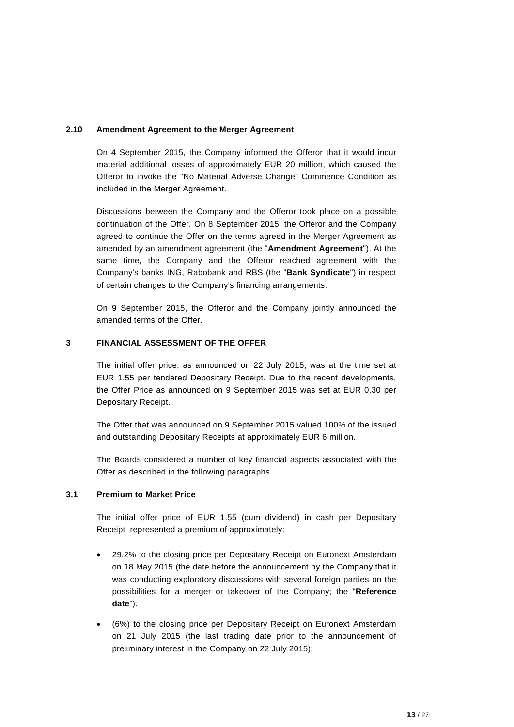## <span id="page-12-0"></span>**2.10 Amendment Agreement to the Merger Agreement**

On 4 September 2015, the Company informed the Offeror that it would incur material additional losses of approximately EUR 20 million, which caused the Offeror to invoke the "No Material Adverse Change" Commence Condition as included in the Merger Agreement.

Discussions between the Company and the Offeror took place on a possible continuation of the Offer. On 8 September 2015, the Offeror and the Company agreed to continue the Offer on the terms agreed in the Merger Agreement as amended by an amendment agreement (the "**Amendment Agreement**"). At the same time, the Company and the Offeror reached agreement with the Company's banks ING, Rabobank and RBS (the "**Bank Syndicate**") in respect of certain changes to the Company's financing arrangements.

On 9 September 2015, the Offeror and the Company jointly announced the amended terms of the Offer.

## <span id="page-12-1"></span>**3 FINANCIAL ASSESSMENT OF THE OFFER**

The initial offer price, as announced on 22 July 2015, was at the time set at EUR 1.55 per tendered Depositary Receipt. Due to the recent developments, the Offer Price as announced on 9 September 2015 was set at EUR 0.30 per Depositary Receipt.

The Offer that was announced on 9 September 2015 valued 100% of the issued and outstanding Depositary Receipts at approximately EUR 6 million.

The Boards considered a number of key financial aspects associated with the Offer as described in the following paragraphs.

## <span id="page-12-2"></span>**3.1 Premium to Market Price**

The initial offer price of EUR 1.55 (cum dividend) in cash per Depositary Receipt represented a premium of approximately:

- 29.2% to the closing price per Depositary Receipt on Euronext Amsterdam on 18 May 2015 (the date before the announcement by the Company that it was conducting exploratory discussions with several foreign parties on the possibilities for a merger or takeover of the Company; the "**Reference date**").
- (6%) to the closing price per Depositary Receipt on Euronext Amsterdam on 21 July 2015 (the last trading date prior to the announcement of preliminary interest in the Company on 22 July 2015);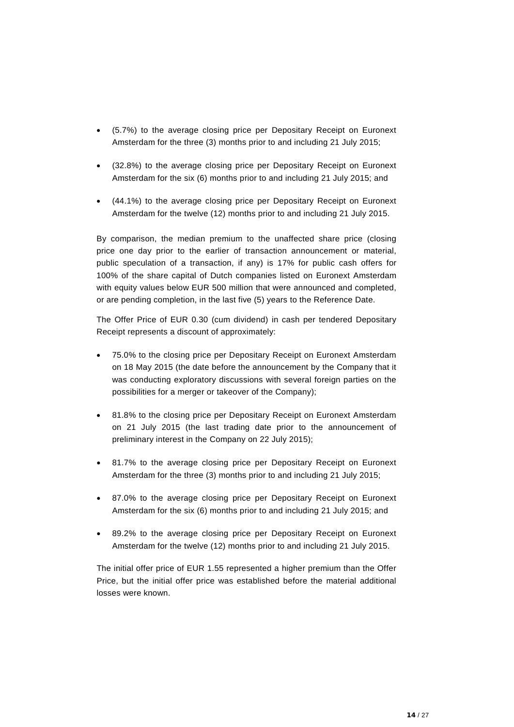- (5.7%) to the average closing price per Depositary Receipt on Euronext Amsterdam for the three (3) months prior to and including 21 July 2015;
- (32.8%) to the average closing price per Depositary Receipt on Euronext Amsterdam for the six (6) months prior to and including 21 July 2015; and
- (44.1%) to the average closing price per Depositary Receipt on Euronext Amsterdam for the twelve (12) months prior to and including 21 July 2015.

By comparison, the median premium to the unaffected share price (closing price one day prior to the earlier of transaction announcement or material, public speculation of a transaction, if any) is 17% for public cash offers for 100% of the share capital of Dutch companies listed on Euronext Amsterdam with equity values below EUR 500 million that were announced and completed, or are pending completion, in the last five (5) years to the Reference Date.

The Offer Price of EUR 0.30 (cum dividend) in cash per tendered Depositary Receipt represents a discount of approximately:

- 75.0% to the closing price per Depositary Receipt on Euronext Amsterdam on 18 May 2015 (the date before the announcement by the Company that it was conducting exploratory discussions with several foreign parties on the possibilities for a merger or takeover of the Company);
- 81.8% to the closing price per Depositary Receipt on Euronext Amsterdam on 21 July 2015 (the last trading date prior to the announcement of preliminary interest in the Company on 22 July 2015);
- 81.7% to the average closing price per Depositary Receipt on Euronext Amsterdam for the three (3) months prior to and including 21 July 2015;
- 87.0% to the average closing price per Depositary Receipt on Euronext Amsterdam for the six (6) months prior to and including 21 July 2015; and
- 89.2% to the average closing price per Depositary Receipt on Euronext Amsterdam for the twelve (12) months prior to and including 21 July 2015.

The initial offer price of EUR 1.55 represented a higher premium than the Offer Price, but the initial offer price was established before the material additional losses were known.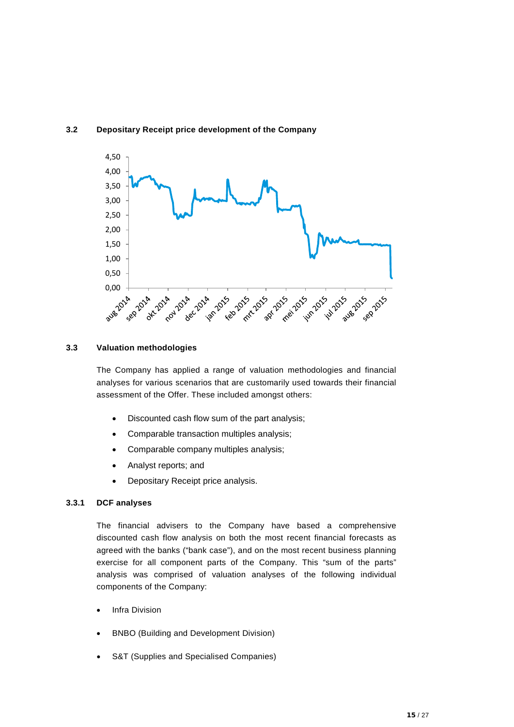<span id="page-14-0"></span>



## <span id="page-14-1"></span>**3.3 Valuation methodologies**

The Company has applied a range of valuation methodologies and financial analyses for various scenarios that are customarily used towards their financial assessment of the Offer. These included amongst others:

- Discounted cash flow sum of the part analysis;
- Comparable transaction multiples analysis;
- Comparable company multiples analysis;
- Analyst reports; and
- Depositary Receipt price analysis.

### **3.3.1 DCF analyses**

The financial advisers to the Company have based a comprehensive discounted cash flow analysis on both the most recent financial forecasts as agreed with the banks ("bank case"), and on the most recent business planning exercise for all component parts of the Company. This "sum of the parts" analysis was comprised of valuation analyses of the following individual components of the Company:

- **Infra Division**
- BNBO (Building and Development Division)
- S&T (Supplies and Specialised Companies)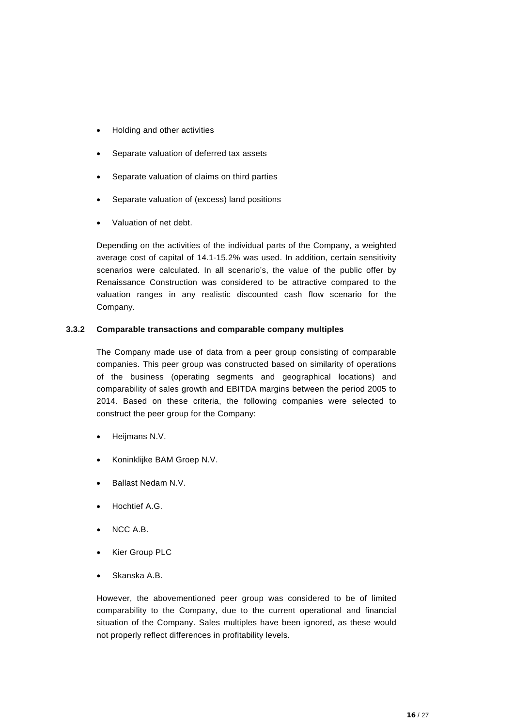- Holding and other activities
- Separate valuation of deferred tax assets
- Separate valuation of claims on third parties
- Separate valuation of (excess) land positions
- Valuation of net debt.

Depending on the activities of the individual parts of the Company, a weighted average cost of capital of 14.1-15.2% was used. In addition, certain sensitivity scenarios were calculated. In all scenario's, the value of the public offer by Renaissance Construction was considered to be attractive compared to the valuation ranges in any realistic discounted cash flow scenario for the Company.

## **3.3.2 Comparable transactions and comparable company multiples**

The Company made use of data from a peer group consisting of comparable companies. This peer group was constructed based on similarity of operations of the business (operating segments and geographical locations) and comparability of sales growth and EBITDA margins between the period 2005 to 2014. Based on these criteria, the following companies were selected to construct the peer group for the Company:

- Heijmans N.V.
- Koninklijke BAM Groep N.V.
- Ballast Nedam N.V.
- Hochtief A.G.
- NCC A.B.
- **Kier Group PLC**
- Skanska A.B.

However, the abovementioned peer group was considered to be of limited comparability to the Company, due to the current operational and financial situation of the Company. Sales multiples have been ignored, as these would not properly reflect differences in profitability levels.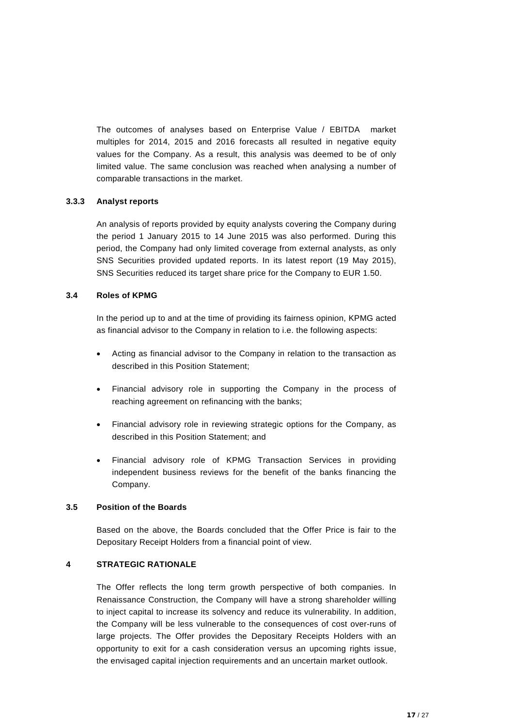The outcomes of analyses based on Enterprise Value / EBITDA market multiples for 2014, 2015 and 2016 forecasts all resulted in negative equity values for the Company. As a result, this analysis was deemed to be of only limited value. The same conclusion was reached when analysing a number of comparable transactions in the market.

## **3.3.3 Analyst reports**

An analysis of reports provided by equity analysts covering the Company during the period 1 January 2015 to 14 June 2015 was also performed. During this period, the Company had only limited coverage from external analysts, as only SNS Securities provided updated reports. In its latest report (19 May 2015), SNS Securities reduced its target share price for the Company to EUR 1.50.

## <span id="page-16-0"></span>**3.4 Roles of KPMG**

In the period up to and at the time of providing its fairness opinion, KPMG acted as financial advisor to the Company in relation to i.e. the following aspects:

- Acting as financial advisor to the Company in relation to the transaction as described in this Position Statement;
- Financial advisory role in supporting the Company in the process of reaching agreement on refinancing with the banks;
- Financial advisory role in reviewing strategic options for the Company, as described in this Position Statement; and
- Financial advisory role of KPMG Transaction Services in providing independent business reviews for the benefit of the banks financing the Company.

## <span id="page-16-1"></span>**3.5 Position of the Boards**

Based on the above, the Boards concluded that the Offer Price is fair to the Depositary Receipt Holders from a financial point of view.

## <span id="page-16-2"></span>**4 STRATEGIC RATIONALE**

The Offer reflects the long term growth perspective of both companies. In Renaissance Construction, the Company will have a strong shareholder willing to inject capital to increase its solvency and reduce its vulnerability. In addition, the Company will be less vulnerable to the consequences of cost over-runs of large projects. The Offer provides the Depositary Receipts Holders with an opportunity to exit for a cash consideration versus an upcoming rights issue, the envisaged capital injection requirements and an uncertain market outlook.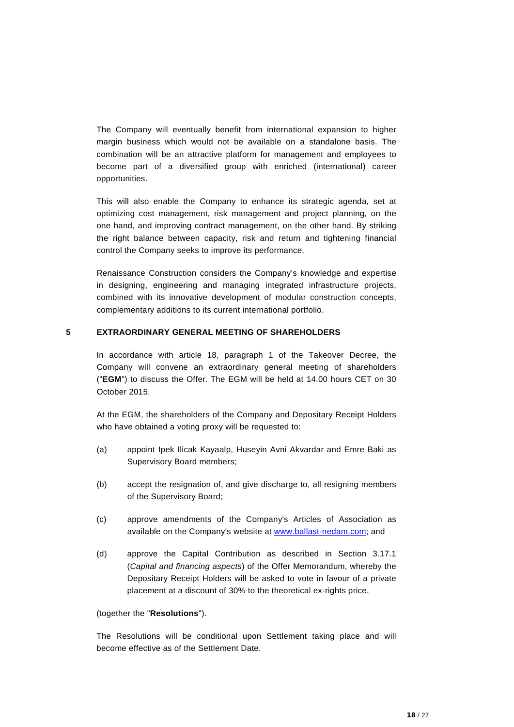The Company will eventually benefit from international expansion to higher margin business which would not be available on a standalone basis. The combination will be an attractive platform for management and employees to become part of a diversified group with enriched (international) career opportunities.

This will also enable the Company to enhance its strategic agenda, set at optimizing cost management, risk management and project planning, on the one hand, and improving contract management, on the other hand. By striking the right balance between capacity, risk and return and tightening financial control the Company seeks to improve its performance.

Renaissance Construction considers the Company's knowledge and expertise in designing, engineering and managing integrated infrastructure projects, combined with its innovative development of modular construction concepts, complementary additions to its current international portfolio.

#### <span id="page-17-0"></span>**5 EXTRAORDINARY GENERAL MEETING OF SHAREHOLDERS**

In accordance with article 18, paragraph 1 of the Takeover Decree, the Company will convene an extraordinary general meeting of shareholders ("**EGM**") to discuss the Offer. The EGM will be held at 14.00 hours CET on 30 October 2015.

At the EGM, the shareholders of the Company and Depositary Receipt Holders who have obtained a voting proxy will be requested to:

- (a) appoint Ipek Ilicak Kayaalp, Huseyin Avni Akvardar and Emre Baki as Supervisory Board members;
- (b) accept the resignation of, and give discharge to, all resigning members of the Supervisory Board;
- (c) approve amendments of the Company's Articles of Association as available on the Company's website at [www.ballast-nedam.com;](http://www.ballast-nedam.com/) and
- (d) approve the Capital Contribution as described in Section 3.17.1 (*Capital and financing aspects*) of the Offer Memorandum, whereby the Depositary Receipt Holders will be asked to vote in favour of a private placement at a discount of 30% to the theoretical ex-rights price,

#### (together the "**Resolutions**").

The Resolutions will be conditional upon Settlement taking place and will become effective as of the Settlement Date.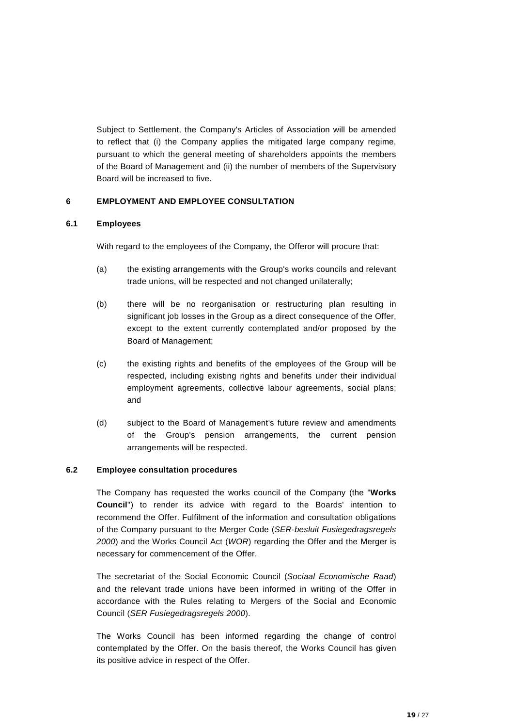Subject to Settlement, the Company's Articles of Association will be amended to reflect that (i) the Company applies the mitigated large company regime, pursuant to which the general meeting of shareholders appoints the members of the Board of Management and (ii) the number of members of the Supervisory Board will be increased to five.

## <span id="page-18-0"></span>**6 EMPLOYMENT AND EMPLOYEE CONSULTATION**

## <span id="page-18-1"></span>**6.1 Employees**

With regard to the employees of the Company, the Offeror will procure that:

- (a) the existing arrangements with the Group's works councils and relevant trade unions, will be respected and not changed unilaterally;
- (b) there will be no reorganisation or restructuring plan resulting in significant job losses in the Group as a direct consequence of the Offer, except to the extent currently contemplated and/or proposed by the Board of Management;
- (c) the existing rights and benefits of the employees of the Group will be respected, including existing rights and benefits under their individual employment agreements, collective labour agreements, social plans; and
- (d) subject to the Board of Management's future review and amendments of the Group's pension arrangements, the current pension arrangements will be respected.

## <span id="page-18-2"></span>**6.2 Employee consultation procedures**

The Company has requested the works council of the Company (the "**Works Council**") to render its advice with regard to the Boards' intention to recommend the Offer. Fulfilment of the information and consultation obligations of the Company pursuant to the Merger Code (*SER-besluit Fusiegedragsregels 2000*) and the Works Council Act (*WOR*) regarding the Offer and the Merger is necessary for commencement of the Offer.

The secretariat of the Social Economic Council (*Sociaal Economische Raad*) and the relevant trade unions have been informed in writing of the Offer in accordance with the Rules relating to Mergers of the Social and Economic Council (*SER Fusiegedragsregels 2000*).

The Works Council has been informed regarding the change of control contemplated by the Offer. On the basis thereof, the Works Council has given its positive advice in respect of the Offer.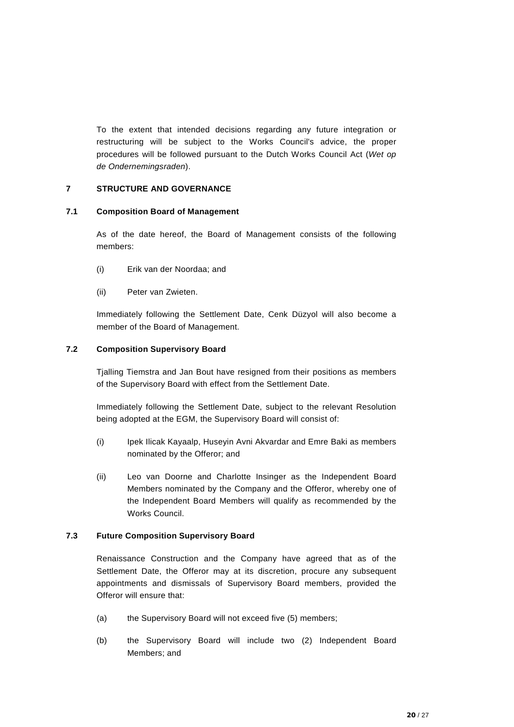To the extent that intended decisions regarding any future integration or restructuring will be subject to the Works Council's advice, the proper procedures will be followed pursuant to the Dutch Works Council Act (*Wet op de Ondernemingsraden*).

## <span id="page-19-0"></span>**7 STRUCTURE AND GOVERNANCE**

## <span id="page-19-1"></span>**7.1 Composition Board of Management**

As of the date hereof, the Board of Management consists of the following members:

- (i) Erik van der Noordaa; and
- (ii) Peter van Zwieten.

Immediately following the Settlement Date, Cenk Düzyol will also become a member of the Board of Management.

## <span id="page-19-2"></span>**7.2 Composition Supervisory Board**

Tjalling Tiemstra and Jan Bout have resigned from their positions as members of the Supervisory Board with effect from the Settlement Date.

Immediately following the Settlement Date, subject to the relevant Resolution being adopted at the EGM, the Supervisory Board will consist of:

- (i) Ipek Ilicak Kayaalp, Huseyin Avni Akvardar and Emre Baki as members nominated by the Offeror; and
- (ii) Leo van Doorne and Charlotte Insinger as the Independent Board Members nominated by the Company and the Offeror, whereby one of the Independent Board Members will qualify as recommended by the Works Council.

## <span id="page-19-3"></span>**7.3 Future Composition Supervisory Board**

Renaissance Construction and the Company have agreed that as of the Settlement Date, the Offeror may at its discretion, procure any subsequent appointments and dismissals of Supervisory Board members, provided the Offeror will ensure that:

- (a) the Supervisory Board will not exceed five (5) members;
- (b) the Supervisory Board will include two (2) Independent Board Members; and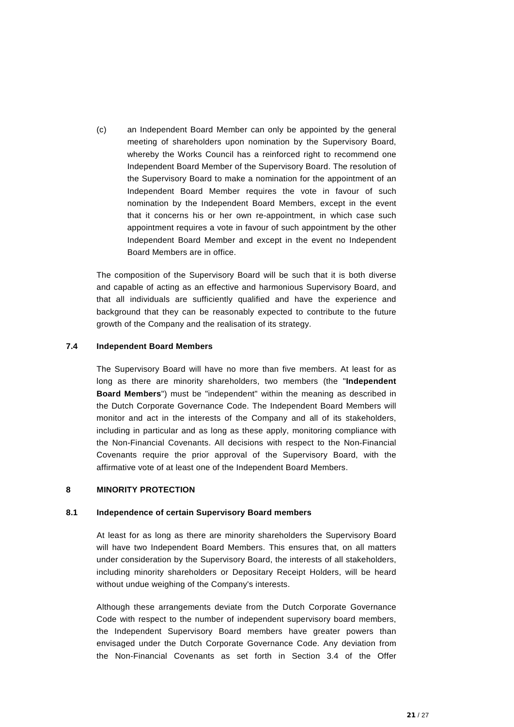(c) an Independent Board Member can only be appointed by the general meeting of shareholders upon nomination by the Supervisory Board, whereby the Works Council has a reinforced right to recommend one Independent Board Member of the Supervisory Board. The resolution of the Supervisory Board to make a nomination for the appointment of an Independent Board Member requires the vote in favour of such nomination by the Independent Board Members, except in the event that it concerns his or her own re-appointment, in which case such appointment requires a vote in favour of such appointment by the other Independent Board Member and except in the event no Independent Board Members are in office.

The composition of the Supervisory Board will be such that it is both diverse and capable of acting as an effective and harmonious Supervisory Board, and that all individuals are sufficiently qualified and have the experience and background that they can be reasonably expected to contribute to the future growth of the Company and the realisation of its strategy.

#### <span id="page-20-0"></span>**7.4 Independent Board Members**

The Supervisory Board will have no more than five members. At least for as long as there are minority shareholders, two members (the "**Independent Board Members**") must be "independent" within the meaning as described in the Dutch Corporate Governance Code. The Independent Board Members will monitor and act in the interests of the Company and all of its stakeholders, including in particular and as long as these apply, monitoring compliance with the Non-Financial Covenants. All decisions with respect to the Non-Financial Covenants require the prior approval of the Supervisory Board, with the affirmative vote of at least one of the Independent Board Members.

## <span id="page-20-1"></span>**8 MINORITY PROTECTION**

#### <span id="page-20-2"></span>**8.1 Independence of certain Supervisory Board members**

At least for as long as there are minority shareholders the Supervisory Board will have two Independent Board Members. This ensures that, on all matters under consideration by the Supervisory Board, the interests of all stakeholders, including minority shareholders or Depositary Receipt Holders, will be heard without undue weighing of the Company's interests.

Although these arrangements deviate from the Dutch Corporate Governance Code with respect to the number of independent supervisory board members, the Independent Supervisory Board members have greater powers than envisaged under the Dutch Corporate Governance Code. Any deviation from the Non-Financial Covenants as set forth in Section 3.4 of the Offer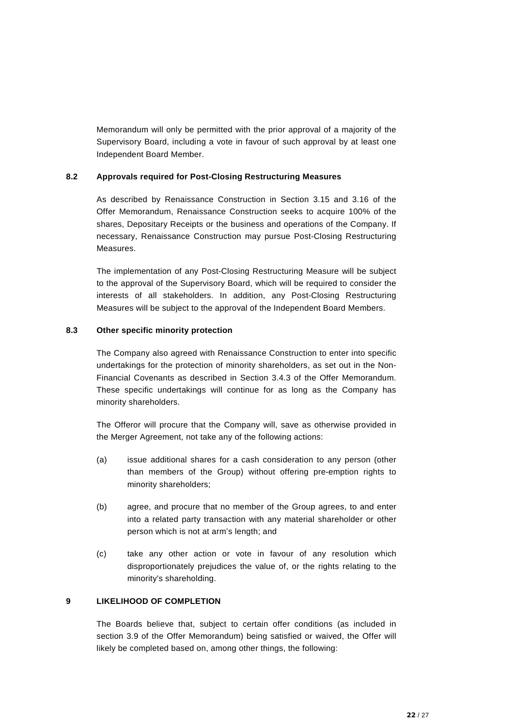Memorandum will only be permitted with the prior approval of a majority of the Supervisory Board, including a vote in favour of such approval by at least one Independent Board Member.

## <span id="page-21-0"></span>**8.2 Approvals required for Post-Closing Restructuring Measures**

As described by Renaissance Construction in Section 3.15 and 3.16 of the Offer Memorandum, Renaissance Construction seeks to acquire 100% of the shares, Depositary Receipts or the business and operations of the Company. If necessary, Renaissance Construction may pursue Post-Closing Restructuring Measures.

The implementation of any Post-Closing Restructuring Measure will be subject to the approval of the Supervisory Board, which will be required to consider the interests of all stakeholders. In addition, any Post-Closing Restructuring Measures will be subject to the approval of the Independent Board Members.

## <span id="page-21-1"></span>**8.3 Other specific minority protection**

The Company also agreed with Renaissance Construction to enter into specific undertakings for the protection of minority shareholders, as set out in the Non-Financial Covenants as described in Section 3.4.3 of the Offer Memorandum. These specific undertakings will continue for as long as the Company has minority shareholders.

The Offeror will procure that the Company will, save as otherwise provided in the Merger Agreement, not take any of the following actions:

- (a) issue additional shares for a cash consideration to any person (other than members of the Group) without offering pre-emption rights to minority shareholders;
- (b) agree, and procure that no member of the Group agrees, to and enter into a related party transaction with any material shareholder or other person which is not at arm's length; and
- (c) take any other action or vote in favour of any resolution which disproportionately prejudices the value of, or the rights relating to the minority's shareholding.

## <span id="page-21-2"></span>**9 LIKELIHOOD OF COMPLETION**

The Boards believe that, subject to certain offer conditions (as included in section 3.9 of the Offer Memorandum) being satisfied or waived, the Offer will likely be completed based on, among other things, the following: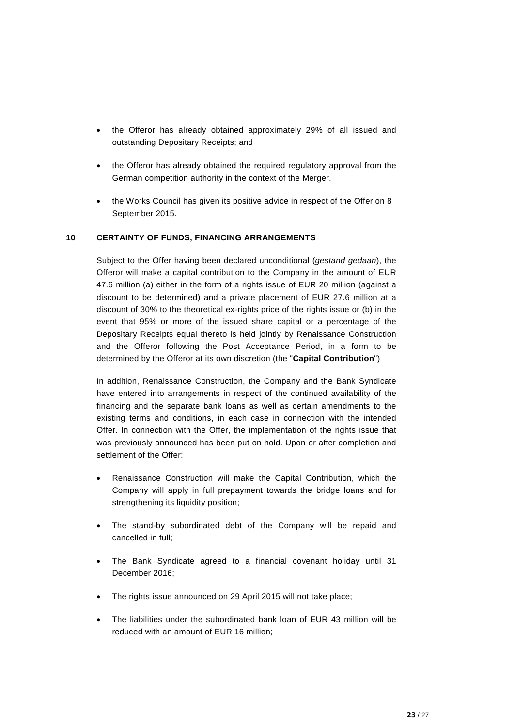- the Offeror has already obtained approximately 29% of all issued and outstanding Depositary Receipts; and
- the Offeror has already obtained the required regulatory approval from the German competition authority in the context of the Merger.
- the Works Council has given its positive advice in respect of the Offer on 8 September 2015.

## <span id="page-22-0"></span>**10 CERTAINTY OF FUNDS, FINANCING ARRANGEMENTS**

Subject to the Offer having been declared unconditional (*gestand gedaan*), the Offeror will make a capital contribution to the Company in the amount of EUR 47.6 million (a) either in the form of a rights issue of EUR 20 million (against a discount to be determined) and a private placement of EUR 27.6 million at a discount of 30% to the theoretical ex-rights price of the rights issue or (b) in the event that 95% or more of the issued share capital or a percentage of the Depositary Receipts equal thereto is held jointly by Renaissance Construction and the Offeror following the Post Acceptance Period, in a form to be determined by the Offeror at its own discretion (the "**Capital Contribution**")

In addition, Renaissance Construction, the Company and the Bank Syndicate have entered into arrangements in respect of the continued availability of the financing and the separate bank loans as well as certain amendments to the existing terms and conditions, in each case in connection with the intended Offer. In connection with the Offer, the implementation of the rights issue that was previously announced has been put on hold. Upon or after completion and settlement of the Offer:

- Renaissance Construction will make the Capital Contribution, which the Company will apply in full prepayment towards the bridge loans and for strengthening its liquidity position;
- The stand-by subordinated debt of the Company will be repaid and cancelled in full;
- The Bank Syndicate agreed to a financial covenant holiday until 31 December 2016;
- The rights issue announced on 29 April 2015 will not take place;
- The liabilities under the subordinated bank loan of EUR 43 million will be reduced with an amount of EUR 16 million;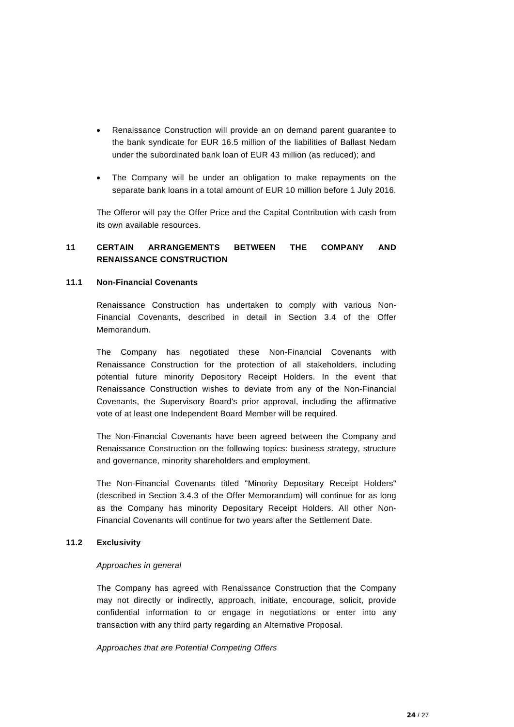- Renaissance Construction will provide an on demand parent guarantee to the bank syndicate for EUR 16.5 million of the liabilities of Ballast Nedam under the subordinated bank loan of EUR 43 million (as reduced); and
- The Company will be under an obligation to make repayments on the separate bank loans in a total amount of EUR 10 million before 1 July 2016.

The Offeror will pay the Offer Price and the Capital Contribution with cash from its own available resources.

## <span id="page-23-0"></span>**11 CERTAIN ARRANGEMENTS BETWEEN THE COMPANY AND RENAISSANCE CONSTRUCTION**

## <span id="page-23-1"></span>**11.1 Non-Financial Covenants**

Renaissance Construction has undertaken to comply with various Non-Financial Covenants, described in detail in Section 3.4 of the Offer Memorandum.

The Company has negotiated these Non-Financial Covenants with Renaissance Construction for the protection of all stakeholders, including potential future minority Depository Receipt Holders. In the event that Renaissance Construction wishes to deviate from any of the Non-Financial Covenants, the Supervisory Board's prior approval, including the affirmative vote of at least one Independent Board Member will be required.

The Non-Financial Covenants have been agreed between the Company and Renaissance Construction on the following topics: business strategy, structure and governance, minority shareholders and employment.

The Non-Financial Covenants titled "Minority Depositary Receipt Holders" (described in Section 3.4.3 of the Offer Memorandum) will continue for as long as the Company has minority Depositary Receipt Holders. All other Non-Financial Covenants will continue for two years after the Settlement Date.

## <span id="page-23-2"></span>**11.2 Exclusivity**

## *Approaches in general*

The Company has agreed with Renaissance Construction that the Company may not directly or indirectly, approach, initiate, encourage, solicit, provide confidential information to or engage in negotiations or enter into any transaction with any third party regarding an Alternative Proposal.

*Approaches that are Potential Competing Offers*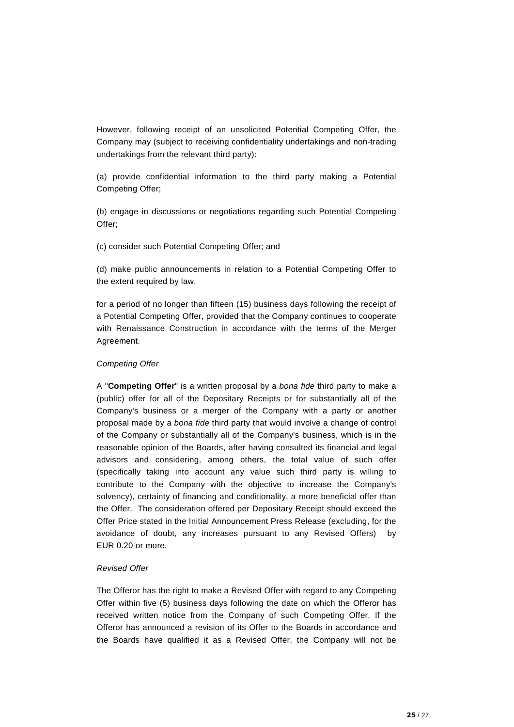However, following receipt of an unsolicited Potential Competing Offer, the Company may (subject to receiving confidentiality undertakings and non-trading undertakings from the relevant third party):

(a) provide confidential information to the third party making a Potential Competing Offer;

(b) engage in discussions or negotiations regarding such Potential Competing Offer;

(c) consider such Potential Competing Offer; and

(d) make public announcements in relation to a Potential Competing Offer to the extent required by law,

for a period of no longer than fifteen (15) business days following the receipt of a Potential Competing Offer, provided that the Company continues to cooperate with Renaissance Construction in accordance with the terms of the Merger Agreement.

## *Competing Offer*

A "**Competing Offer**" is a written proposal by a *bona fide* third party to make a (public) offer for all of the Depositary Receipts or for substantially all of the Company's business or a merger of the Company with a party or another proposal made by a *bona fide* third party that would involve a change of control of the Company or substantially all of the Company's business, which is in the reasonable opinion of the Boards, after having consulted its financial and legal advisors and considering, among others, the total value of such offer (specifically taking into account any value such third party is willing to contribute to the Company with the objective to increase the Company's solvency), certainty of financing and conditionality, a more beneficial offer than the Offer. The consideration offered per Depositary Receipt should exceed the Offer Price stated in the Initial Announcement Press Release (excluding, for the avoidance of doubt, any increases pursuant to any Revised Offers) by EUR 0.20 or more.

## *Revised Offer*

The Offeror has the right to make a Revised Offer with regard to any Competing Offer within five (5) business days following the date on which the Offeror has received written notice from the Company of such Competing Offer. If the Offeror has announced a revision of its Offer to the Boards in accordance and the Boards have qualified it as a Revised Offer, the Company will not be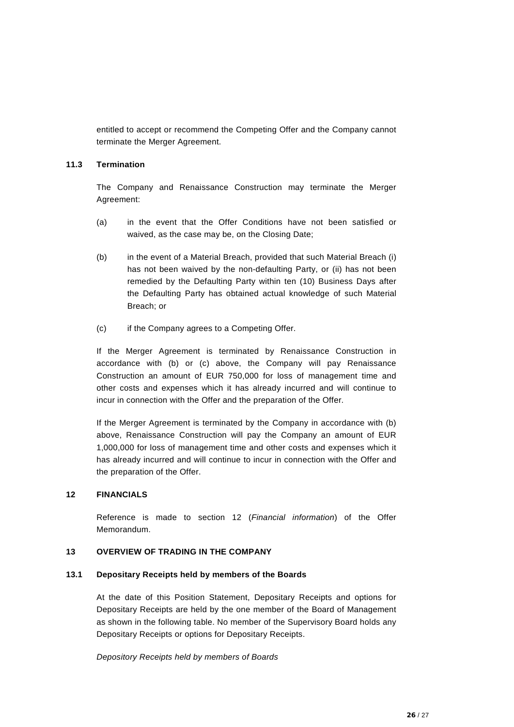entitled to accept or recommend the Competing Offer and the Company cannot terminate the Merger Agreement.

## <span id="page-25-0"></span>**11.3 Termination**

The Company and Renaissance Construction may terminate the Merger Agreement:

- (a) in the event that the Offer Conditions have not been satisfied or waived, as the case may be, on the Closing Date;
- (b) in the event of a Material Breach, provided that such Material Breach (i) has not been waived by the non-defaulting Party, or (ii) has not been remedied by the Defaulting Party within ten (10) Business Days after the Defaulting Party has obtained actual knowledge of such Material Breach; or
- (c) if the Company agrees to a Competing Offer.

If the Merger Agreement is terminated by Renaissance Construction in accordance with (b) or (c) above, the Company will pay Renaissance Construction an amount of EUR 750,000 for loss of management time and other costs and expenses which it has already incurred and will continue to incur in connection with the Offer and the preparation of the Offer.

If the Merger Agreement is terminated by the Company in accordance with (b) above, Renaissance Construction will pay the Company an amount of EUR 1,000,000 for loss of management time and other costs and expenses which it has already incurred and will continue to incur in connection with the Offer and the preparation of the Offer.

## <span id="page-25-1"></span>**12 FINANCIALS**

Reference is made to section 12 (*Financial information*) of the Offer Memorandum.

## <span id="page-25-2"></span>**13 OVERVIEW OF TRADING IN THE COMPANY**

## <span id="page-25-3"></span>**13.1 Depositary Receipts held by members of the Boards**

At the date of this Position Statement, Depositary Receipts and options for Depositary Receipts are held by the one member of the Board of Management as shown in the following table. No member of the Supervisory Board holds any Depositary Receipts or options for Depositary Receipts.

*Depository Receipts held by members of Boards*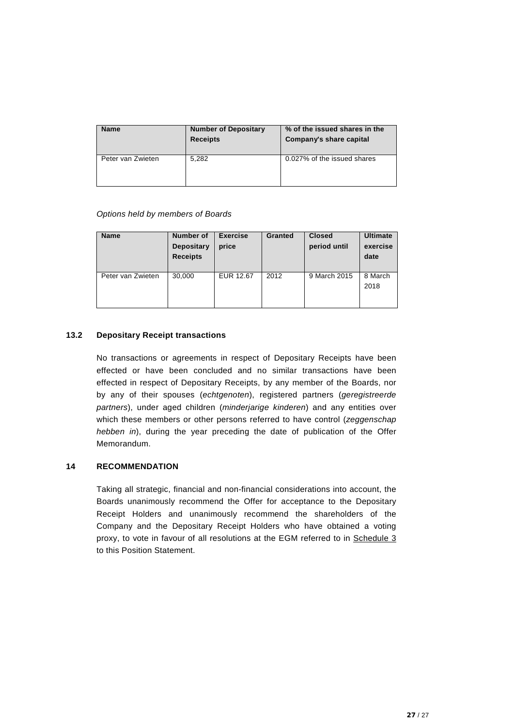| <b>Name</b>       | <b>Number of Depositary</b><br><b>Receipts</b> | % of the issued shares in the<br>Company's share capital |
|-------------------|------------------------------------------------|----------------------------------------------------------|
| Peter van Zwieten | 5.282                                          | 0.027% of the issued shares                              |

## *Options held by members of Boards*

| <b>Name</b>       | <b>Number of</b><br><b>Depositary</b><br><b>Receipts</b> | <b>Exercise</b><br>price | <b>Granted</b> | <b>Closed</b><br>period until | <b>Ultimate</b><br>exercise<br>date |
|-------------------|----------------------------------------------------------|--------------------------|----------------|-------------------------------|-------------------------------------|
| Peter van Zwieten | 30,000                                                   | EUR 12.67                | 2012           | 9 March 2015                  | 8 March<br>2018                     |

## <span id="page-26-0"></span>**13.2 Depositary Receipt transactions**

No transactions or agreements in respect of Depositary Receipts have been effected or have been concluded and no similar transactions have been effected in respect of Depositary Receipts, by any member of the Boards, nor by any of their spouses (*echtgenoten*), registered partners (*geregistreerde partners*), under aged children (*minderjarige kinderen*) and any entities over which these members or other persons referred to have control (*zeggenschap hebben in*), during the year preceding the date of publication of the Offer Memorandum.

## <span id="page-26-1"></span>**14 RECOMMENDATION**

Taking all strategic, financial and non-financial considerations into account, the Boards unanimously recommend the Offer for acceptance to the Depositary Receipt Holders and unanimously recommend the shareholders of the Company and the Depositary Receipt Holders who have obtained a voting proxy, to vote in favour of all resolutions at the EGM referred to in Schedule 3 to this Position Statement.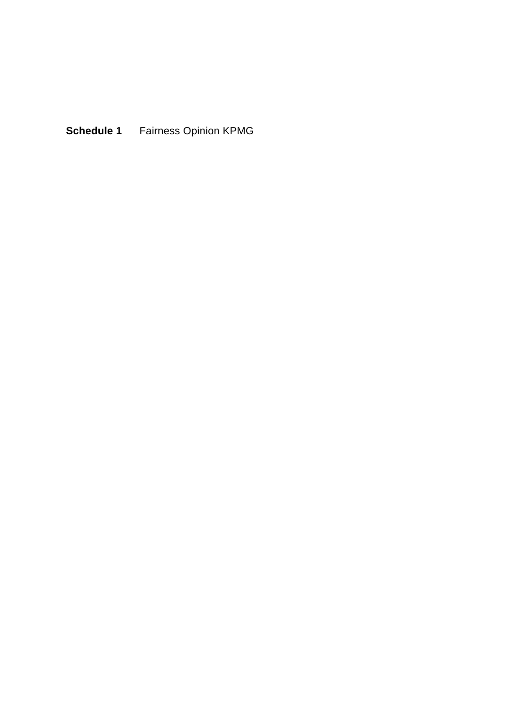**Schedule 1** Fairness Opinion KPMG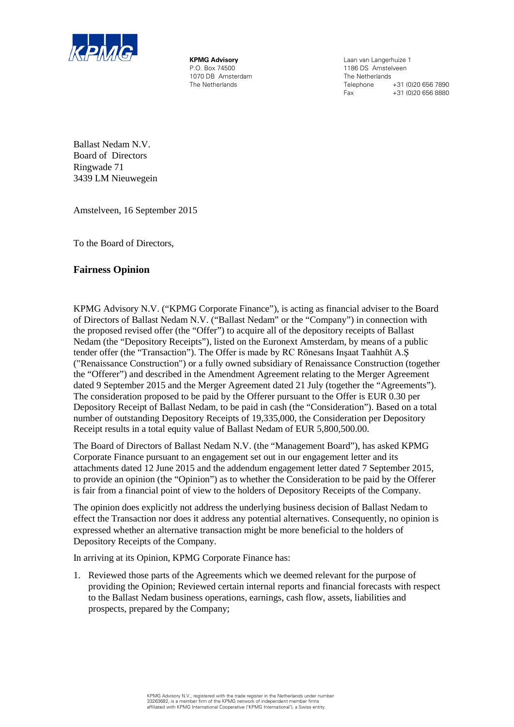

**KPMG Advisory** P.O. Box 74500 1070 DB Amsterdam The Netherlands

Laan van Langerhuize 1 1186 DS Amstelveen The Netherlands<br>Telephone Telephone +31 (0)20 656 7890<br>Fax +31 (0)20 656 8880 +31 (0)20 656 8880

Ballast Nedam N.V. Board of Directors Ringwade 71 3439 LM Nieuwegein

Amstelveen, 16 September 2015

To the Board of Directors,

## **Fairness Opinion**

KPMG Advisory N.V. ("KPMG Corporate Finance"), is acting as financial adviser to the Board of Directors of Ballast Nedam N.V. ("Ballast Nedam" or the "Company") in connection with the proposed revised offer (the "Offer") to acquire all of the depository receipts of Ballast Nedam (the "Depository Receipts"), listed on the Euronext Amsterdam, by means of a public tender offer (the "Transaction"). The Offer is made by RC Rönesans Inşaat Taahhüt A.Ş ("Renaissance Construction") or a fully owned subsidiary of Renaissance Construction (together the "Offerer") and described in the Amendment Agreement relating to the Merger Agreement dated 9 September 2015 and the Merger Agreement dated 21 July (together the "Agreements"). The consideration proposed to be paid by the Offerer pursuant to the Offer is EUR 0.30 per Depository Receipt of Ballast Nedam, to be paid in cash (the "Consideration"). Based on a total number of outstanding Depository Receipts of 19,335,000, the Consideration per Depository Receipt results in a total equity value of Ballast Nedam of EUR 5,800,500.00.

The Board of Directors of Ballast Nedam N.V. (the "Management Board"), has asked KPMG Corporate Finance pursuant to an engagement set out in our engagement letter and its attachments dated 12 June 2015 and the addendum engagement letter dated 7 September 2015, to provide an opinion (the "Opinion") as to whether the Consideration to be paid by the Offerer is fair from a financial point of view to the holders of Depository Receipts of the Company.

The opinion does explicitly not address the underlying business decision of Ballast Nedam to effect the Transaction nor does it address any potential alternatives. Consequently, no opinion is expressed whether an alternative transaction might be more beneficial to the holders of Depository Receipts of the Company.

In arriving at its Opinion, KPMG Corporate Finance has:

1. Reviewed those parts of the Agreements which we deemed relevant for the purpose of providing the Opinion; Reviewed certain internal reports and financial forecasts with respect to the Ballast Nedam business operations, earnings, cash flow, assets, liabilities and prospects, prepared by the Company;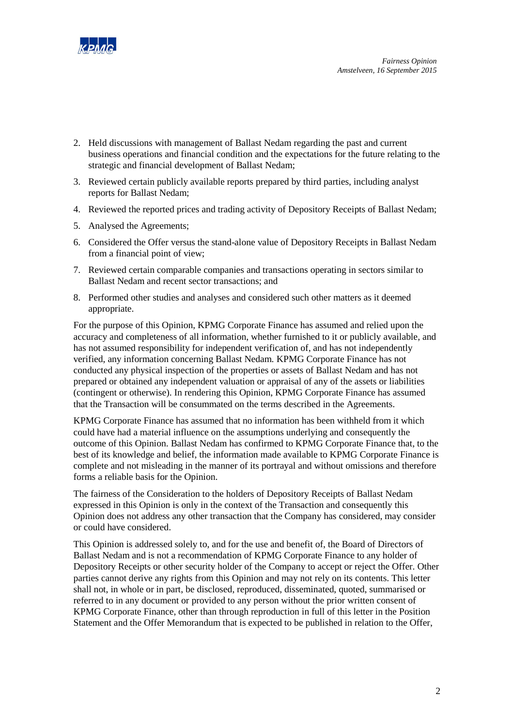

- 2. Held discussions with management of Ballast Nedam regarding the past and current business operations and financial condition and the expectations for the future relating to the strategic and financial development of Ballast Nedam;
- 3. Reviewed certain publicly available reports prepared by third parties, including analyst reports for Ballast Nedam;
- 4. Reviewed the reported prices and trading activity of Depository Receipts of Ballast Nedam;
- 5. Analysed the Agreements;
- 6. Considered the Offer versus the stand-alone value of Depository Receipts in Ballast Nedam from a financial point of view;
- 7. Reviewed certain comparable companies and transactions operating in sectors similar to Ballast Nedam and recent sector transactions; and
- 8. Performed other studies and analyses and considered such other matters as it deemed appropriate.

For the purpose of this Opinion, KPMG Corporate Finance has assumed and relied upon the accuracy and completeness of all information, whether furnished to it or publicly available, and has not assumed responsibility for independent verification of, and has not independently verified, any information concerning Ballast Nedam. KPMG Corporate Finance has not conducted any physical inspection of the properties or assets of Ballast Nedam and has not prepared or obtained any independent valuation or appraisal of any of the assets or liabilities (contingent or otherwise). In rendering this Opinion, KPMG Corporate Finance has assumed that the Transaction will be consummated on the terms described in the Agreements.

KPMG Corporate Finance has assumed that no information has been withheld from it which could have had a material influence on the assumptions underlying and consequently the outcome of this Opinion. Ballast Nedam has confirmed to KPMG Corporate Finance that, to the best of its knowledge and belief, the information made available to KPMG Corporate Finance is complete and not misleading in the manner of its portrayal and without omissions and therefore forms a reliable basis for the Opinion.

The fairness of the Consideration to the holders of Depository Receipts of Ballast Nedam expressed in this Opinion is only in the context of the Transaction and consequently this Opinion does not address any other transaction that the Company has considered, may consider or could have considered.

This Opinion is addressed solely to, and for the use and benefit of, the Board of Directors of Ballast Nedam and is not a recommendation of KPMG Corporate Finance to any holder of Depository Receipts or other security holder of the Company to accept or reject the Offer. Other parties cannot derive any rights from this Opinion and may not rely on its contents. This letter shall not, in whole or in part, be disclosed, reproduced, disseminated, quoted, summarised or referred to in any document or provided to any person without the prior written consent of KPMG Corporate Finance, other than through reproduction in full of this letter in the Position Statement and the Offer Memorandum that is expected to be published in relation to the Offer,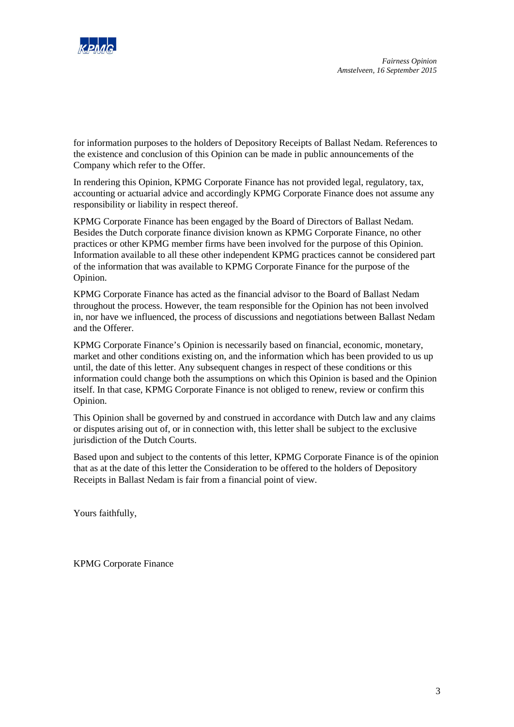

for information purposes to the holders of Depository Receipts of Ballast Nedam. References to the existence and conclusion of this Opinion can be made in public announcements of the Company which refer to the Offer.

In rendering this Opinion, KPMG Corporate Finance has not provided legal, regulatory, tax, accounting or actuarial advice and accordingly KPMG Corporate Finance does not assume any responsibility or liability in respect thereof.

KPMG Corporate Finance has been engaged by the Board of Directors of Ballast Nedam. Besides the Dutch corporate finance division known as KPMG Corporate Finance, no other practices or other KPMG member firms have been involved for the purpose of this Opinion. Information available to all these other independent KPMG practices cannot be considered part of the information that was available to KPMG Corporate Finance for the purpose of the Opinion.

KPMG Corporate Finance has acted as the financial advisor to the Board of Ballast Nedam throughout the process. However, the team responsible for the Opinion has not been involved in, nor have we influenced, the process of discussions and negotiations between Ballast Nedam and the Offerer.

KPMG Corporate Finance's Opinion is necessarily based on financial, economic, monetary, market and other conditions existing on, and the information which has been provided to us up until, the date of this letter. Any subsequent changes in respect of these conditions or this information could change both the assumptions on which this Opinion is based and the Opinion itself. In that case, KPMG Corporate Finance is not obliged to renew, review or confirm this Opinion.

This Opinion shall be governed by and construed in accordance with Dutch law and any claims or disputes arising out of, or in connection with, this letter shall be subject to the exclusive jurisdiction of the Dutch Courts.

Based upon and subject to the contents of this letter, KPMG Corporate Finance is of the opinion that as at the date of this letter the Consideration to be offered to the holders of Depository Receipts in Ballast Nedam is fair from a financial point of view.

Yours faithfully,

KPMG Corporate Finance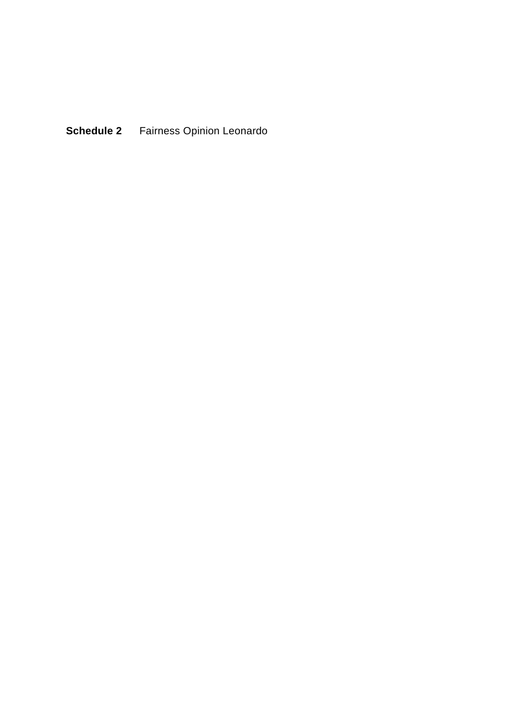**Schedule 2** Fairness Opinion Leonardo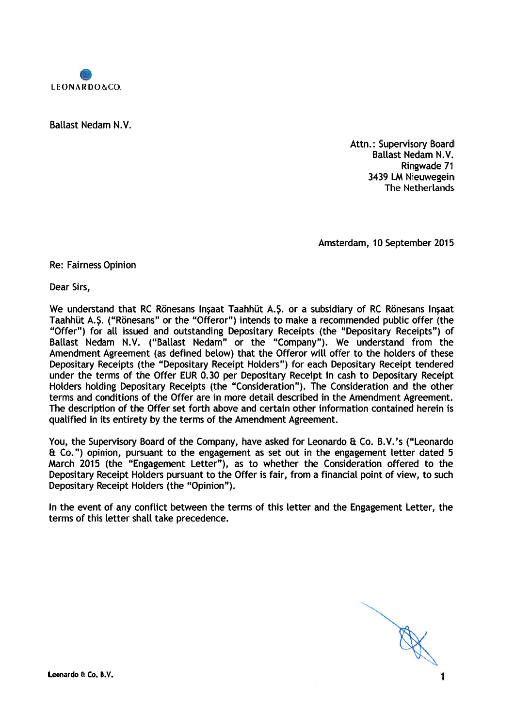

**Ballast Nedam N.V.** 

Attn.: Supervisory Board **Ballast Nedam N.V.** Ringwade 71 3439 LM Nieuwegein The Netherlands

Amsterdam, 10 September 2015

**Re: Fairness Opinion** 

Dear Sirs,

We understand that RC Rönesans Insaat Taahhüt A.S. or a subsidiary of RC Rönesans Insaat Taahhüt A.Ş. ("Rönesans" or the "Offeror") intends to make a recommended public offer (the "Offer") for all issued and outstanding Depositary Receipts (the "Depositary Receipts") of Ballast Nedam N.V. ("Ballast Nedam" or the "Company"). We understand from the Amendment Agreement (as defined below) that the Offeror will offer to the holders of these Depositary Receipts (the "Depositary Receipt Holders") for each Depositary Receipt tendered under the terms of the Offer EUR 0.30 per Depositary Receipt in cash to Depositary Receipt Holders holding Depositary Receipts (the "Consideration"). The Consideration and the other terms and conditions of the Offer are in more detail described in the Amendment Agreement. The description of the Offer set forth above and certain other information contained herein is qualified in its entirety by the terms of the Amendment Agreement.

You, the Supervisory Board of the Company, have asked for Leonardo & Co. B.V.'s ("Leonardo & Co.") opinion, pursuant to the engagement as set out in the engagement letter dated 5 March 2015 (the "Engagement Letter"), as to whether the Consideration offered to the Depositary Receipt Holders pursuant to the Offer is fair, from a financial point of view, to such Depositary Receipt Holders (the "Opinion").

In the event of any conflict between the terms of this letter and the Engagement Letter, the terms of this letter shall take precedence.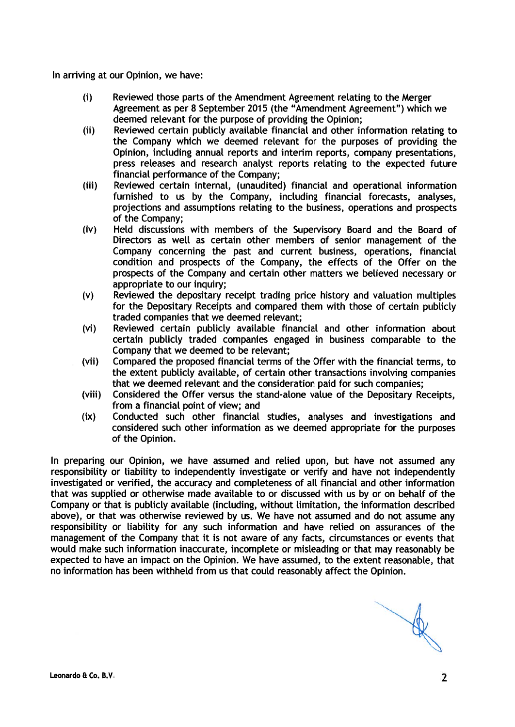In arriving at our Opinion, we have:

- $(i)$ Reviewed those parts of the Amendment Agreement relating to the Merger Agreement as per 8 September 2015 (the "Amendment Agreement") which we deemed relevant for the purpose of providing the Opinion:
- $(ii)$ Reviewed certain publicly available financial and other information relating to the Company which we deemed relevant for the purposes of providing the Opinion, including annual reports and interim reports, company presentations, press releases and research analyst reports relating to the expected future financial performance of the Company:
- $(iii)$ Reviewed certain internal, (unaudited) financial and operational information furnished to us by the Company, including financial forecasts, analyses, projections and assumptions relating to the business, operations and prospects of the Company:
- $(iv)$ Held discussions with members of the Supervisory Board and the Board of Directors as well as certain other members of senior management of the Company concerning the past and current business, operations, financial condition and prospects of the Company, the effects of the Offer on the prospects of the Company and certain other matters we believed necessary or appropriate to our inquiry:
- Reviewed the depositary receipt trading price history and valuation multiples  $(v)$ for the Depositary Receipts and compared them with those of certain publicly traded companies that we deemed relevant:
- $(v<sub>i</sub>)$ Reviewed certain publicly available financial and other information about certain publicly traded companies engaged in business comparable to the Company that we deemed to be relevant;
- Compared the proposed financial terms of the Offer with the financial terms, to  $(vii)$ the extent publicly available, of certain other transactions involving companies that we deemed relevant and the consideration paid for such companies;
- (viii) Considered the Offer versus the stand-alone value of the Depositary Receipts. from a financial point of view: and
- Conducted such other financial studies, analyses and investigations and  $(ix)$ considered such other information as we deemed appropriate for the purposes of the Opinion.

In preparing our Opinion, we have assumed and relied upon, but have not assumed any responsibility or liability to independently investigate or verify and have not independently investigated or verified, the accuracy and completeness of all financial and other information that was supplied or otherwise made available to or discussed with us by or on behalf of the Company or that is publicly available (including, without limitation, the information described above), or that was otherwise reviewed by us. We have not assumed and do not assume any responsibility or liability for any such information and have relied on assurances of the management of the Company that it is not aware of any facts, circumstances or events that would make such information inaccurate, incomplete or misleading or that may reasonably be expected to have an impact on the Opinion. We have assumed, to the extent reasonable, that no information has been withheld from us that could reasonably affect the Opinion.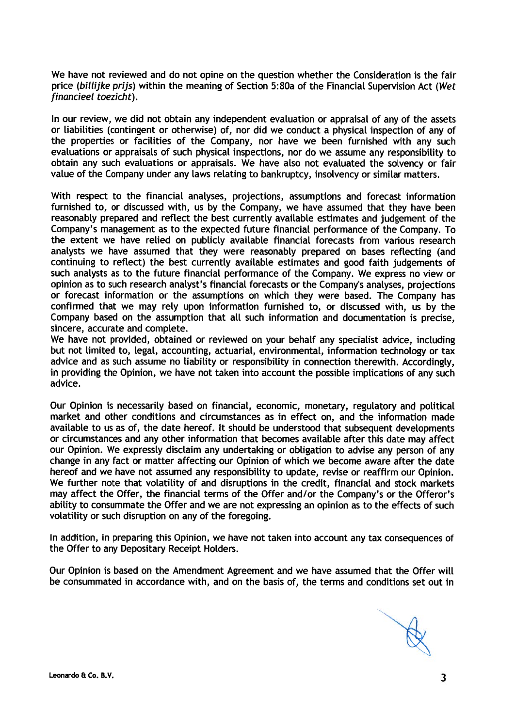We have not reviewed and do not opine on the question whether the Consideration is the fair price (billijke prijs) within the meaning of Section 5:80a of the Financial Supervision Act (Wet financieel toezicht).

In our review, we did not obtain any independent evaluation or appraisal of any of the assets or liabilities (contingent or otherwise) of, nor did we conduct a physical inspection of any of the properties or facilities of the Company, nor have we been furnished with any such evaluations or appraisals of such physical inspections, nor do we assume any responsibility to obtain any such evaluations or appraisals. We have also not evaluated the solvency or fair value of the Company under any laws relating to bankruptcy, insolvency or similar matters.

With respect to the financial analyses, projections, assumptions and forecast information furnished to, or discussed with, us by the Company, we have assumed that they have been reasonably prepared and reflect the best currently available estimates and judgement of the Company's management as to the expected future financial performance of the Company. To the extent we have relied on publicly available financial forecasts from various research analysts we have assumed that they were reasonably prepared on bases reflecting (and continuing to reflect) the best currently available estimates and good faith judgements of such analysts as to the future financial performance of the Company. We express no view or opinion as to such research analyst's financial forecasts or the Company's analyses, projections or forecast information or the assumptions on which they were based. The Company has confirmed that we may rely upon information furnished to, or discussed with, us by the Company based on the assumption that all such information and documentation is precise. sincere, accurate and complete.

We have not provided, obtained or reviewed on your behalf any specialist advice, including but not limited to, legal, accounting, actuarial, environmental, information technology or tax advice and as such assume no liability or responsibility in connection therewith. Accordingly, in providing the Opinion, we have not taken into account the possible implications of any such advice.

Our Opinion is necessarily based on financial, economic, monetary, regulatory and political market and other conditions and circumstances as in effect on, and the information made available to us as of, the date hereof. It should be understood that subsequent developments or circumstances and any other information that becomes available after this date may affect our Opinion. We expressly disclaim any undertaking or obligation to advise any person of any change in any fact or matter affecting our Opinion of which we become aware after the date hereof and we have not assumed any responsibility to update, revise or reaffirm our Opinion. We further note that volatility of and disruptions in the credit, financial and stock markets may affect the Offer, the financial terms of the Offer and/or the Company's or the Offeror's ability to consummate the Offer and we are not expressing an opinion as to the effects of such volatility or such disruption on any of the foregoing.

In addition, in preparing this Opinion, we have not taken into account any tax consequences of the Offer to any Depositary Receipt Holders.

Our Opinion is based on the Amendment Agreement and we have assumed that the Offer will be consummated in accordance with, and on the basis of, the terms and conditions set out in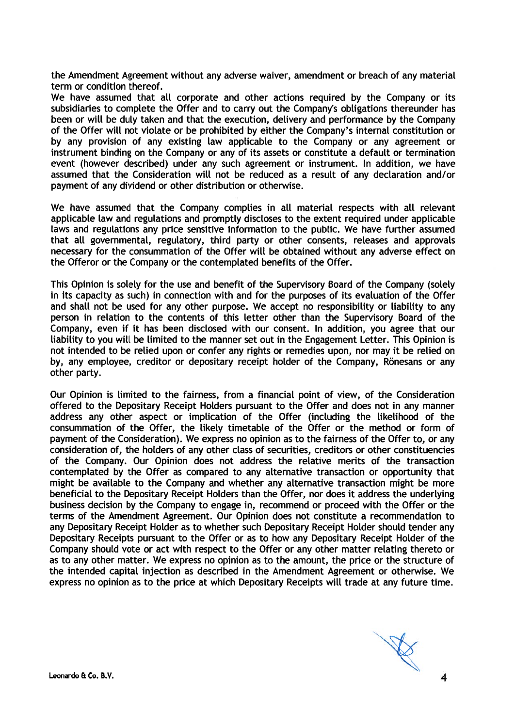the Amendment Agreement without any adverse waiver, amendment or breach of any material term or condition thereof.

We have assumed that all corporate and other actions required by the Company or its subsidiaries to complete the Offer and to carry out the Company's obligations thereunder has been or will be duly taken and that the execution, delivery and performance by the Company of the Offer will not violate or be prohibited by either the Company's internal constitution or by any provision of any existing law applicable to the Company or any agreement or instrument binding on the Company or any of its assets or constitute a default or termination event (however described) under any such agreement or instrument. In addition, we have assumed that the Consideration will not be reduced as a result of any declaration and/or payment of any dividend or other distribution or otherwise.

We have assumed that the Company complies in all material respects with all relevant applicable law and regulations and promptly discloses to the extent required under applicable laws and regulations any price sensitive information to the public. We have further assumed that all governmental, regulatory, third party or other consents, releases and approvals necessary for the consummation of the Offer will be obtained without any adverse effect on the Offeror or the Company or the contemplated benefits of the Offer.

This Opinion is solely for the use and benefit of the Supervisory Board of the Company (solely in its capacity as such) in connection with and for the purposes of its evaluation of the Offer and shall not be used for any other purpose. We accept no responsibility or liability to any person in relation to the contents of this letter other than the Supervisory Board of the Company, even if it has been disclosed with our consent. In addition, you agree that our liability to you will be limited to the manner set out in the Engagement Letter. This Opinion is not intended to be relied upon or confer any rights or remedies upon, nor may it be relied on by, any employee, creditor or depositary receipt holder of the Company, Rönesans or any other party.

Our Opinion is limited to the fairness, from a financial point of view, of the Consideration offered to the Depositary Receipt Holders pursuant to the Offer and does not in any manner address any other aspect or implication of the Offer (including the likelihood of the consummation of the Offer, the likely timetable of the Offer or the method or form of payment of the Consideration). We express no opinion as to the fairness of the Offer to, or any consideration of, the holders of any other class of securities, creditors or other constituencies of the Company. Our Opinion does not address the relative merits of the transaction contemplated by the Offer as compared to any alternative transaction or opportunity that might be available to the Company and whether any alternative transaction might be more beneficial to the Depositary Receipt Holders than the Offer, nor does it address the underlying business decision by the Company to engage in, recommend or proceed with the Offer or the terms of the Amendment Agreement. Our Opinion does not constitute a recommendation to any Depositary Receipt Holder as to whether such Depositary Receipt Holder should tender any Depositary Receipts pursuant to the Offer or as to how any Depositary Receipt Holder of the Company should vote or act with respect to the Offer or any other matter relating thereto or as to any other matter. We express no opinion as to the amount, the price or the structure of the intended capital injection as described in the Amendment Agreement or otherwise. We express no opinion as to the price at which Depositary Receipts will trade at any future time.

A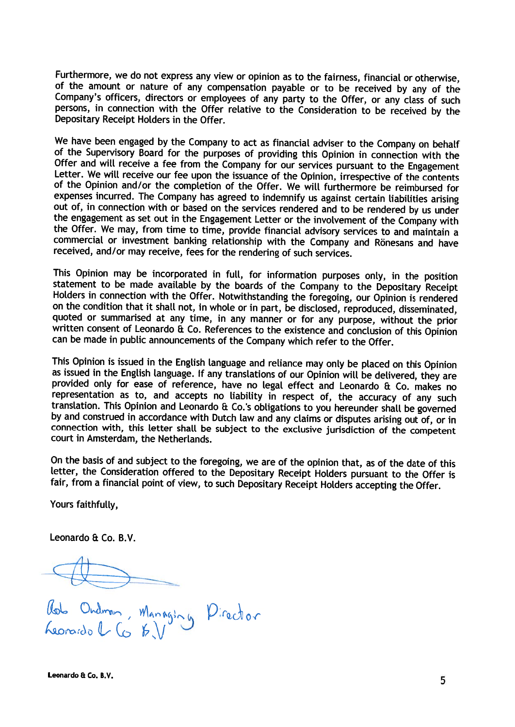Furthermore, we do not express any view or opinion as to the fairness, financial or otherwise, of the amount or nature of any compensation payable or to be received by any of the Company's officers, directors or employees of any party to the Offer, or any class of such persons, in connection with the Offer relative to the Consideration to be received by the Depositary Receipt Holders in the Offer.

We have been engaged by the Company to act as financial adviser to the Company on behalf of the Supervisory Board for the purposes of providing this Opinion in connection with the Offer and will receive a fee from the Company for our services pursuant to the Engagement Letter. We will receive our fee upon the issuance of the Opinion, irrespective of the contents of the Opinion and/or the completion of the Offer. We will furthermore be reimbursed for expenses incurred. The Company has agreed to indemnify us against certain liabilities arising out of, in connection with or based on the services rendered and to be rendered by us under the engagement as set out in the Engagement Letter or the involvement of the Company with the Offer. We may, from time to time, provide financial advisory services to and maintain a commercial or investment banking relationship with the Company and Rönesans and have received, and/or may receive, fees for the rendering of such services.

This Opinion may be incorporated in full, for information purposes only, in the position statement to be made available by the boards of the Company to the Depositary Receipt Holders in connection with the Offer. Notwithstanding the foregoing, our Opinion is rendered on the condition that it shall not, in whole or in part, be disclosed, reproduced, disseminated, quoted or summarised at any time, in any manner or for any purpose, without the prior written consent of Leonardo & Co. References to the existence and conclusion of this Opinion can be made in public announcements of the Company which refer to the Offer.

This Opinion is issued in the English language and reliance may only be placed on this Opinion as issued in the English language. If any translations of our Opinion will be delivered, they are provided only for ease of reference, have no legal effect and Leonardo & Co. makes no representation as to, and accepts no liability in respect of, the accuracy of any such translation. This Opinion and Leonardo & Co.'s obligations to you hereunder shall be governed by and construed in accordance with Dutch law and any claims or disputes arising out of, or in connection with, this letter shall be subject to the exclusive jurisdiction of the competent court in Amsterdam, the Netherlands.

On the basis of and subject to the foregoing, we are of the opinion that, as of the date of this letter, the Consideration offered to the Depositary Receipt Holders pursuant to the Offer is fair, from a financial point of view, to such Depositary Receipt Holders accepting the Offer.

Yours faithfully,

Leonardo & Co. B.V.

Rob Ordman, Managing Pirector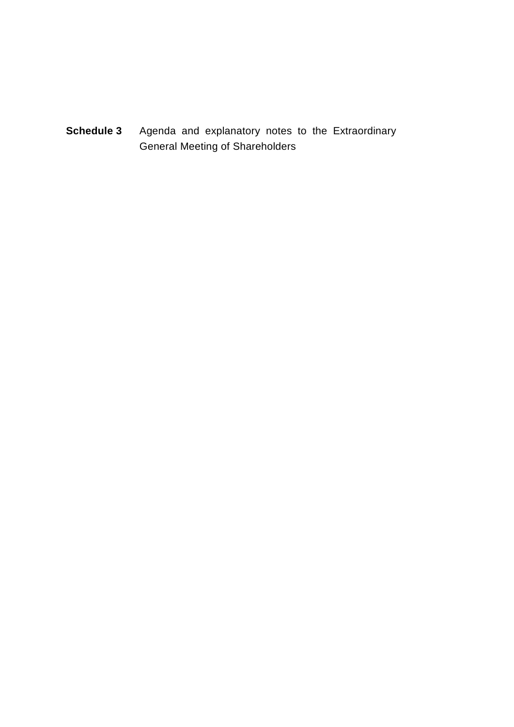**Schedule 3** Agenda and explanatory notes to the Extraordinary General Meeting of Shareholders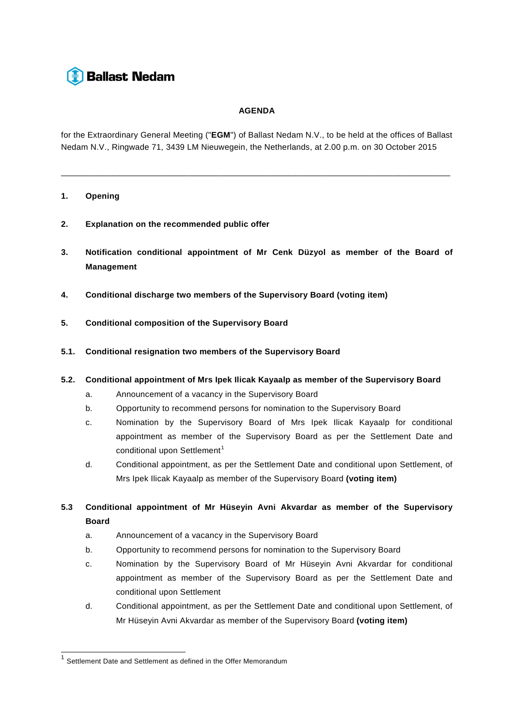# **Ballast Nedam**

## **AGENDA**

for the Extraordinary General Meeting ("**EGM**") of Ballast Nedam N.V., to be held at the offices of Ballast Nedam N.V., Ringwade 71, 3439 LM Nieuwegein, the Netherlands, at 2.00 p.m. on 30 October 2015

\_\_\_\_\_\_\_\_\_\_\_\_\_\_\_\_\_\_\_\_\_\_\_\_\_\_\_\_\_\_\_\_\_\_\_\_\_\_\_\_\_\_\_\_\_\_\_\_\_\_\_\_\_\_\_\_\_\_\_\_\_\_\_\_\_\_\_\_\_\_\_\_\_\_\_\_\_\_\_\_\_\_\_

## **1. Opening**

- **2. Explanation on the recommended public offer**
- **3. Notification conditional appointment of Mr Cenk Düzyol as member of the Board of Management**
- **4. Conditional discharge two members of the Supervisory Board (voting item)**
- **5. Conditional composition of the Supervisory Board**
- **5.1. Conditional resignation two members of the Supervisory Board**
- **5.2. Conditional appointment of Mrs Ipek Ilicak Kayaalp as member of the Supervisory Board** 
	- a. Announcement of a vacancy in the Supervisory Board
	- b. Opportunity to recommend persons for nomination to the Supervisory Board
	- c. Nomination by the Supervisory Board of Mrs Ipek Ilicak Kayaalp for conditional appointment as member of the Supervisory Board as per the Settlement Date and conditional upon Settlement<sup>[1](#page-38-0)</sup>
	- d. Conditional appointment, as per the Settlement Date and conditional upon Settlement, of Mrs Ipek Ilicak Kayaalp as member of the Supervisory Board **(voting item)**
- **5.3 Conditional appointment of Mr Hüseyin Avni Akvardar as member of the Supervisory Board** 
	- a. Announcement of a vacancy in the Supervisory Board
	- b. Opportunity to recommend persons for nomination to the Supervisory Board
	- c. Nomination by the Supervisory Board of Mr Hüseyin Avni Akvardar for conditional appointment as member of the Supervisory Board as per the Settlement Date and conditional upon Settlement
	- d. Conditional appointment, as per the Settlement Date and conditional upon Settlement, of Mr Hüseyin Avni Akvardar as member of the Supervisory Board **(voting item)**

<span id="page-38-0"></span> $1$  Settlement Date and Settlement as defined in the Offer Memorandum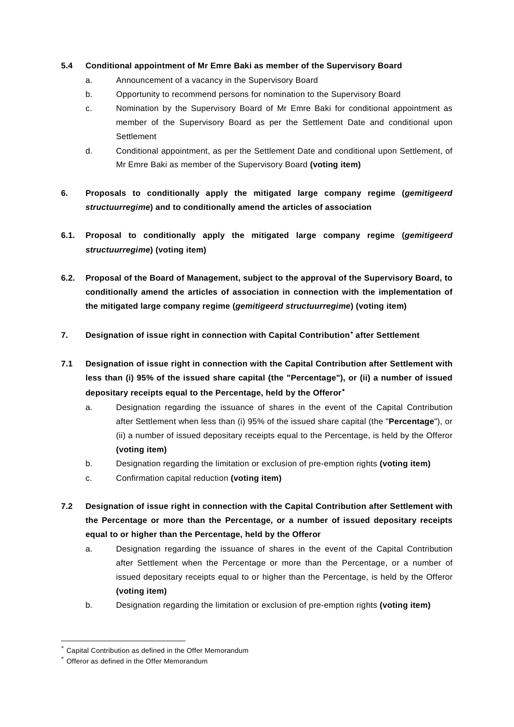## **5.4 Conditional appointment of Mr Emre Baki as member of the Supervisory Board**

- a. Announcement of a vacancy in the Supervisory Board
- b. Opportunity to recommend persons for nomination to the Supervisory Board
- c. Nomination by the Supervisory Board of Mr Emre Baki for conditional appointment as member of the Supervisory Board as per the Settlement Date and conditional upon **Settlement**
- d. Conditional appointment, as per the Settlement Date and conditional upon Settlement, of Mr Emre Baki as member of the Supervisory Board **(voting item)**
- **6. Proposals to conditionally apply the mitigated large company regime (***gemitigeerd structuurregime***) and to conditionally amend the articles of association**
- **6.1. Proposal to conditionally apply the mitigated large company regime (***gemitigeerd structuurregime***) (voting item)**
- **6.2. Proposal of the Board of Management, subject to the approval of the Supervisory Board, to conditionally amend the articles of association in connection with the implementation of the mitigated large company regime (***gemitigeerd structuurregime***) (voting item)**
- **7. Designation of issue right in connection with Capital Contribution**[∗](#page-39-0) **after Settlement**
- **7.1 Designation of issue right in connection with the Capital Contribution after Settlement with less than (i) 95% of the issued share capital (the "Percentage"), or (ii) a number of issued depositary receipts equal to the Percentage, held by the Offeror** [∗](#page-39-1)
	- a. Designation regarding the issuance of shares in the event of the Capital Contribution after Settlement when less than (i) 95% of the issued share capital (the "**Percentage**"), or (ii) a number of issued depositary receipts equal to the Percentage, is held by the Offeror **(voting item)**
	- b. Designation regarding the limitation or exclusion of pre-emption rights **(voting item)**
	- c. Confirmation capital reduction **(voting item)**
- **7.2 Designation of issue right in connection with the Capital Contribution after Settlement with the Percentage or more than the Percentage, or a number of issued depositary receipts equal to or higher than the Percentage, held by the Offeror**
	- a. Designation regarding the issuance of shares in the event of the Capital Contribution after Settlement when the Percentage or more than the Percentage, or a number of issued depositary receipts equal to or higher than the Percentage, is held by the Offeror **(voting item)**
	- b. Designation regarding the limitation or exclusion of pre-emption rights **(voting item)**

<span id="page-39-1"></span><span id="page-39-0"></span>Capital Contribution as defined in the Offer Memorandum

Offeror as defined in the Offer Memorandum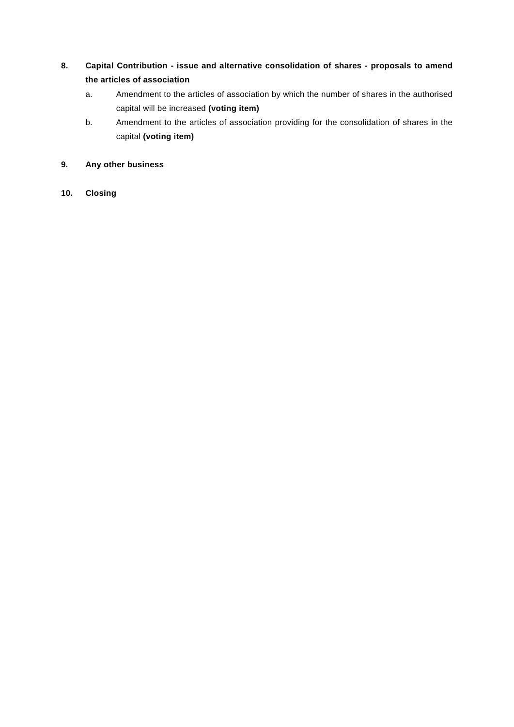# **8. Capital Contribution - issue and alternative consolidation of shares - proposals to amend the articles of association**

- a. Amendment to the articles of association by which the number of shares in the authorised capital will be increased **(voting item)**
- b. Amendment to the articles of association providing for the consolidation of shares in the capital **(voting item)**

## **9. Any other business**

## **10. Closing**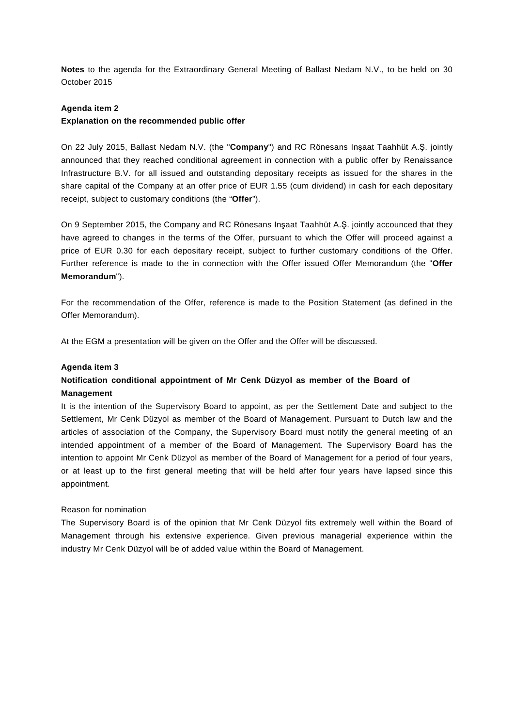**Notes** to the agenda for the Extraordinary General Meeting of Ballast Nedam N.V., to be held on 30 October 2015

## **Agenda item 2**

## **Explanation on the recommended public offer**

On 22 July 2015, Ballast Nedam N.V. (the "**Company**") and RC Rönesans Inşaat Taahhüt A.Ş. jointly announced that they reached conditional agreement in connection with a public offer by Renaissance Infrastructure B.V. for all issued and outstanding depositary receipts as issued for the shares in the share capital of the Company at an offer price of EUR 1.55 (cum dividend) in cash for each depositary receipt, subject to customary conditions (the "**Offer**").

On 9 September 2015, the Company and RC Rönesans Inşaat Taahhüt A.Ş. jointly accounced that they have agreed to changes in the terms of the Offer, pursuant to which the Offer will proceed against a price of EUR 0.30 for each depositary receipt, subject to further customary conditions of the Offer. Further reference is made to the in connection with the Offer issued Offer Memorandum (the "**Offer Memorandum**").

For the recommendation of the Offer, reference is made to the Position Statement (as defined in the Offer Memorandum).

At the EGM a presentation will be given on the Offer and the Offer will be discussed.

## **Agenda item 3**

## **Notification conditional appointment of Mr Cenk Düzyol as member of the Board of Management**

It is the intention of the Supervisory Board to appoint, as per the Settlement Date and subject to the Settlement, Mr Cenk Düzyol as member of the Board of Management. Pursuant to Dutch law and the articles of association of the Company, the Supervisory Board must notify the general meeting of an intended appointment of a member of the Board of Management. The Supervisory Board has the intention to appoint Mr Cenk Düzyol as member of the Board of Management for a period of four years, or at least up to the first general meeting that will be held after four years have lapsed since this appointment.

## Reason for nomination

The Supervisory Board is of the opinion that Mr Cenk Düzyol fits extremely well within the Board of Management through his extensive experience. Given previous managerial experience within the industry Mr Cenk Düzyol will be of added value within the Board of Management.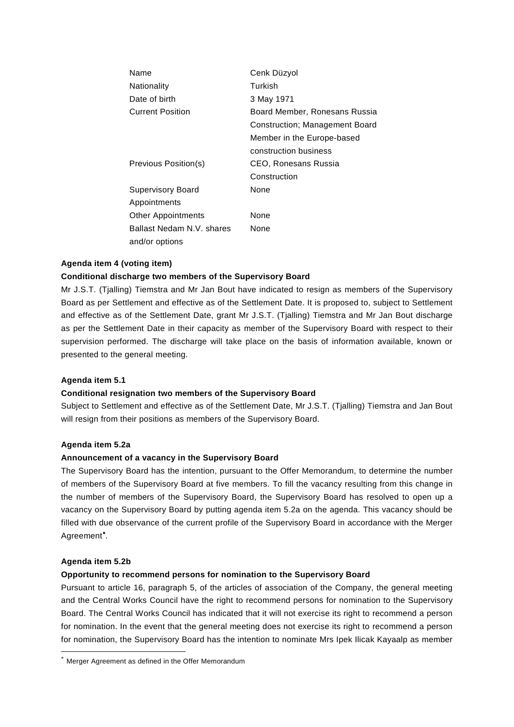| Name                      | Cenk Düzyol                    |
|---------------------------|--------------------------------|
| Nationality               | Turkish                        |
| Date of birth             | 3 May 1971                     |
| <b>Current Position</b>   | Board Member, Ronesans Russia  |
|                           | Construction; Management Board |
|                           | Member in the Europe-based     |
|                           | construction business          |
| Previous Position(s)      | CEO, Ronesans Russia           |
|                           | Construction                   |
| <b>Supervisory Board</b>  | None                           |
| Appointments              |                                |
| <b>Other Appointments</b> | None                           |
| Ballast Nedam N.V. shares | None                           |
| and/or options            |                                |

## **Agenda item 4 (voting item)**

## **Conditional discharge two members of the Supervisory Board**

Mr J.S.T. (Tjalling) Tiemstra and Mr Jan Bout have indicated to resign as members of the Supervisory Board as per Settlement and effective as of the Settlement Date. It is proposed to, subject to Settlement and effective as of the Settlement Date, grant Mr J.S.T. (Tjalling) Tiemstra and Mr Jan Bout discharge as per the Settlement Date in their capacity as member of the Supervisory Board with respect to their supervision performed. The discharge will take place on the basis of information available, known or presented to the general meeting.

## **Agenda item 5.1**

## **Conditional resignation two members of the Supervisory Board**

Subject to Settlement and effective as of the Settlement Date, Mr J.S.T. (Tjalling) Tiemstra and Jan Bout will resign from their positions as members of the Supervisory Board.

## **Agenda item 5.2a**

## **Announcement of a vacancy in the Supervisory Board**

The Supervisory Board has the intention, pursuant to the Offer Memorandum, to determine the number of members of the Supervisory Board at five members. To fill the vacancy resulting from this change in the number of members of the Supervisory Board, the Supervisory Board has resolved to open up a vacancy on the Supervisory Board by putting agenda item 5.2a on the agenda. This vacancy should be filled with due observance of the current profile of the Supervisory Board in accordance with the Merger Agreement<sup>\*</sup>.

#### **Agenda item 5.2b**

## **Opportunity to recommend persons for nomination to the Supervisory Board**

Pursuant to article 16, paragraph 5, of the articles of association of the Company, the general meeting and the Central Works Council have the right to recommend persons for nomination to the Supervisory Board. The Central Works Council has indicated that it will not exercise its right to recommend a person for nomination. In the event that the general meeting does not exercise its right to recommend a person for nomination, the Supervisory Board has the intention to nominate Mrs Ipek Ilicak Kayaalp as member

<span id="page-42-0"></span><sup>∗</sup> Merger Agreement as defined in the Offer Memorandum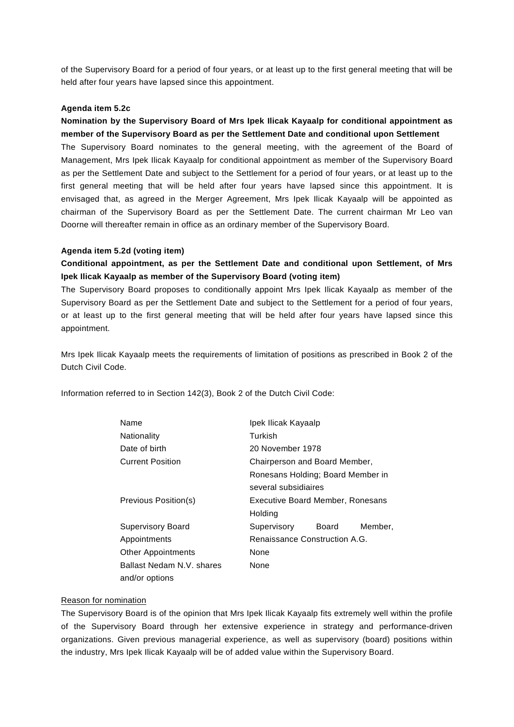of the Supervisory Board for a period of four years, or at least up to the first general meeting that will be held after four years have lapsed since this appointment.

## **Agenda item 5.2c**

**Nomination by the Supervisory Board of Mrs Ipek Ilicak Kayaalp for conditional appointment as member of the Supervisory Board as per the Settlement Date and conditional upon Settlement** The Supervisory Board nominates to the general meeting, with the agreement of the Board of Management, Mrs Ipek Ilicak Kayaalp for conditional appointment as member of the Supervisory Board as per the Settlement Date and subject to the Settlement for a period of four years, or at least up to the first general meeting that will be held after four years have lapsed since this appointment. It is envisaged that, as agreed in the Merger Agreement, Mrs Ipek Ilicak Kayaalp will be appointed as chairman of the Supervisory Board as per the Settlement Date. The current chairman Mr Leo van Doorne will thereafter remain in office as an ordinary member of the Supervisory Board.

## **Agenda item 5.2d (voting item)**

## **Conditional appointment, as per the Settlement Date and conditional upon Settlement, of Mrs Ipek Ilicak Kayaalp as member of the Supervisory Board (voting item)**

The Supervisory Board proposes to conditionally appoint Mrs Ipek Ilicak Kayaalp as member of the Supervisory Board as per the Settlement Date and subject to the Settlement for a period of four years, or at least up to the first general meeting that will be held after four years have lapsed since this appointment.

Mrs Ipek Ilicak Kayaalp meets the requirements of limitation of positions as prescribed in Book 2 of the Dutch Civil Code.

Information referred to in Section 142(3), Book 2 of the Dutch Civil Code:

| Name                      | Ipek Ilicak Kayaalp               |                  |         |  |  |
|---------------------------|-----------------------------------|------------------|---------|--|--|
| Nationality               | Turkish                           |                  |         |  |  |
| Date of birth             |                                   | 20 November 1978 |         |  |  |
| <b>Current Position</b>   | Chairperson and Board Member,     |                  |         |  |  |
|                           | Ronesans Holding; Board Member in |                  |         |  |  |
|                           | several subsidiaires              |                  |         |  |  |
| Previous Position(s)      | Executive Board Member, Ronesans  |                  |         |  |  |
|                           | Holding                           |                  |         |  |  |
| <b>Supervisory Board</b>  | Supervisory                       | Board            | Member, |  |  |
| Appointments              | Renaissance Construction A.G.     |                  |         |  |  |
| <b>Other Appointments</b> | None                              |                  |         |  |  |
| Ballast Nedam N.V. shares | None                              |                  |         |  |  |
| and/or options            |                                   |                  |         |  |  |

## Reason for nomination

The Supervisory Board is of the opinion that Mrs Ipek Ilicak Kayaalp fits extremely well within the profile of the Supervisory Board through her extensive experience in strategy and performance-driven organizations. Given previous managerial experience, as well as supervisory (board) positions within the industry, Mrs Ipek Ilicak Kayaalp will be of added value within the Supervisory Board.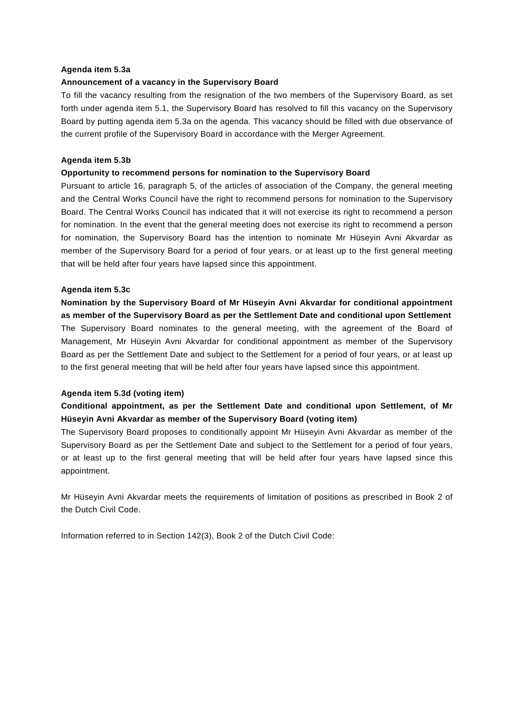#### **Agenda item 5.3a**

#### **Announcement of a vacancy in the Supervisory Board**

To fill the vacancy resulting from the resignation of the two members of the Supervisory Board, as set forth under agenda item 5.1, the Supervisory Board has resolved to fill this vacancy on the Supervisory Board by putting agenda item 5.3a on the agenda. This vacancy should be filled with due observance of the current profile of the Supervisory Board in accordance with the Merger Agreement.

#### **Agenda item 5.3b**

#### **Opportunity to recommend persons for nomination to the Supervisory Board**

Pursuant to article 16, paragraph 5, of the articles of association of the Company, the general meeting and the Central Works Council have the right to recommend persons for nomination to the Supervisory Board. The Central Works Council has indicated that it will not exercise its right to recommend a person for nomination. In the event that the general meeting does not exercise its right to recommend a person for nomination, the Supervisory Board has the intention to nominate Mr Hüseyin Avni Akvardar as member of the Supervisory Board for a period of four years, or at least up to the first general meeting that will be held after four years have lapsed since this appointment.

#### **Agenda item 5.3c**

**Nomination by the Supervisory Board of Mr Hüseyin Avni Akvardar for conditional appointment as member of the Supervisory Board as per the Settlement Date and conditional upon Settlement** The Supervisory Board nominates to the general meeting, with the agreement of the Board of Management, Mr Hüseyin Avni Akvardar for conditional appointment as member of the Supervisory Board as per the Settlement Date and subject to the Settlement for a period of four years, or at least up to the first general meeting that will be held after four years have lapsed since this appointment.

#### **Agenda item 5.3d (voting item)**

## **Conditional appointment, as per the Settlement Date and conditional upon Settlement, of Mr Hüseyin Avni Akvardar as member of the Supervisory Board (voting item)**

The Supervisory Board proposes to conditionally appoint Mr Hüseyin Avni Akvardar as member of the Supervisory Board as per the Settlement Date and subject to the Settlement for a period of four years, or at least up to the first general meeting that will be held after four years have lapsed since this appointment.

Mr Hüseyin Avni Akvardar meets the requirements of limitation of positions as prescribed in Book 2 of the Dutch Civil Code.

Information referred to in Section 142(3), Book 2 of the Dutch Civil Code: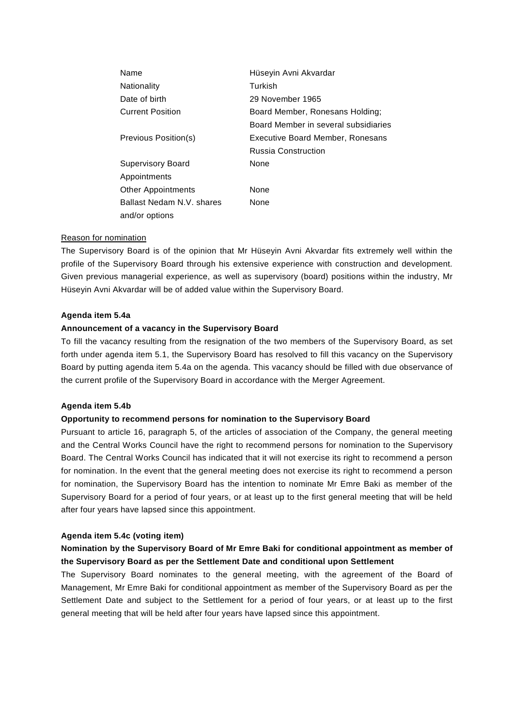| Name                      | Hüseyin Avni Akvardar                |
|---------------------------|--------------------------------------|
| Nationality               | Turkish                              |
| Date of birth             | 29 November 1965                     |
| Current Position          | Board Member, Ronesans Holding;      |
|                           | Board Member in several subsidiaries |
| Previous Position(s)      | Executive Board Member, Ronesans     |
|                           | <b>Russia Construction</b>           |
| Supervisory Board         | None                                 |
| Appointments              |                                      |
| Other Appointments        | None                                 |
| Ballast Nedam N.V. shares | None                                 |
| and/or options            |                                      |

#### Reason for nomination

The Supervisory Board is of the opinion that Mr Hüseyin Avni Akvardar fits extremely well within the profile of the Supervisory Board through his extensive experience with construction and development. Given previous managerial experience, as well as supervisory (board) positions within the industry, Mr Hüseyin Avni Akvardar will be of added value within the Supervisory Board.

### **Agenda item 5.4a**

#### **Announcement of a vacancy in the Supervisory Board**

To fill the vacancy resulting from the resignation of the two members of the Supervisory Board, as set forth under agenda item 5.1, the Supervisory Board has resolved to fill this vacancy on the Supervisory Board by putting agenda item 5.4a on the agenda. This vacancy should be filled with due observance of the current profile of the Supervisory Board in accordance with the Merger Agreement.

#### **Agenda item 5.4b**

## **Opportunity to recommend persons for nomination to the Supervisory Board**

Pursuant to article 16, paragraph 5, of the articles of association of the Company, the general meeting and the Central Works Council have the right to recommend persons for nomination to the Supervisory Board. The Central Works Council has indicated that it will not exercise its right to recommend a person for nomination. In the event that the general meeting does not exercise its right to recommend a person for nomination, the Supervisory Board has the intention to nominate Mr Emre Baki as member of the Supervisory Board for a period of four years, or at least up to the first general meeting that will be held after four years have lapsed since this appointment.

### **Agenda item 5.4c (voting item)**

## **Nomination by the Supervisory Board of Mr Emre Baki for conditional appointment as member of the Supervisory Board as per the Settlement Date and conditional upon Settlement**

The Supervisory Board nominates to the general meeting, with the agreement of the Board of Management, Mr Emre Baki for conditional appointment as member of the Supervisory Board as per the Settlement Date and subject to the Settlement for a period of four years, or at least up to the first general meeting that will be held after four years have lapsed since this appointment.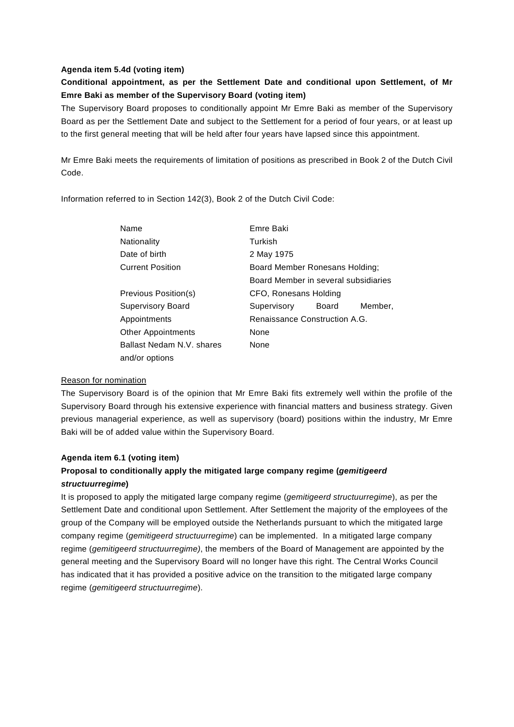## **Agenda item 5.4d (voting item)**

## **Conditional appointment, as per the Settlement Date and conditional upon Settlement, of Mr Emre Baki as member of the Supervisory Board (voting item)**

The Supervisory Board proposes to conditionally appoint Mr Emre Baki as member of the Supervisory Board as per the Settlement Date and subject to the Settlement for a period of four years, or at least up to the first general meeting that will be held after four years have lapsed since this appointment.

Mr Emre Baki meets the requirements of limitation of positions as prescribed in Book 2 of the Dutch Civil Code.

Information referred to in Section 142(3), Book 2 of the Dutch Civil Code:

| Name                      | Emre Baki                            |                       |         |  |  |
|---------------------------|--------------------------------------|-----------------------|---------|--|--|
| Nationality               | Turkish                              |                       |         |  |  |
| Date of birth             | 2 May 1975                           |                       |         |  |  |
| <b>Current Position</b>   | Board Member Ronesans Holding;       |                       |         |  |  |
|                           | Board Member in several subsidiaries |                       |         |  |  |
| Previous Position(s)      |                                      | CFO, Ronesans Holding |         |  |  |
| <b>Supervisory Board</b>  | Supervisory                          | Board                 | Member, |  |  |
| Appointments              | Renaissance Construction A.G.        |                       |         |  |  |
| <b>Other Appointments</b> | None                                 |                       |         |  |  |
| Ballast Nedam N.V. shares | None                                 |                       |         |  |  |
| and/or options            |                                      |                       |         |  |  |

#### Reason for nomination

The Supervisory Board is of the opinion that Mr Emre Baki fits extremely well within the profile of the Supervisory Board through his extensive experience with financial matters and business strategy. Given previous managerial experience, as well as supervisory (board) positions within the industry, Mr Emre Baki will be of added value within the Supervisory Board.

## **Agenda item 6.1 (voting item)**

## **Proposal to conditionally apply the mitigated large company regime (***gemitigeerd structuurregime***)**

It is proposed to apply the mitigated large company regime (*gemitigeerd structuurregime*), as per the Settlement Date and conditional upon Settlement. After Settlement the majority of the employees of the group of the Company will be employed outside the Netherlands pursuant to which the mitigated large company regime (*gemitigeerd structuurregime*) can be implemented. In a mitigated large company regime (*gemitigeerd structuurregime)*, the members of the Board of Management are appointed by the general meeting and the Supervisory Board will no longer have this right. The Central Works Council has indicated that it has provided a positive advice on the transition to the mitigated large company regime (*gemitigeerd structuurregime*).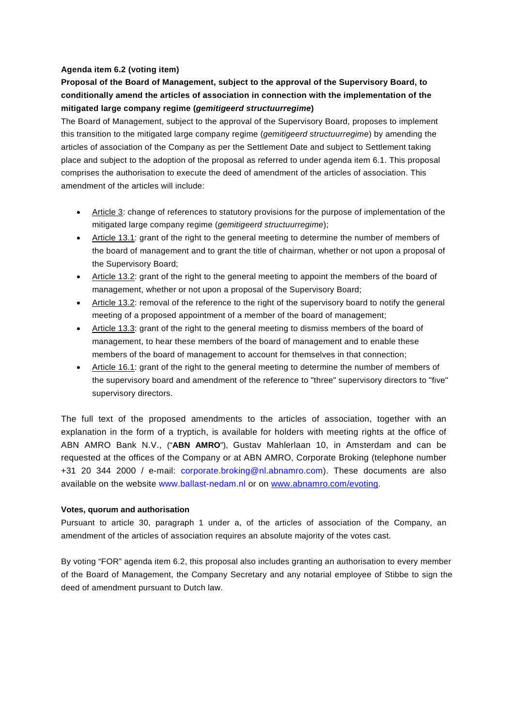## **Agenda item 6.2 (voting item)**

# **Proposal of the Board of Management, subject to the approval of the Supervisory Board, to conditionally amend the articles of association in connection with the implementation of the mitigated large company regime (***gemitigeerd structuurregime***)**

The Board of Management, subject to the approval of the Supervisory Board, proposes to implement this transition to the mitigated large company regime (*gemitigeerd structuurregime*) by amending the articles of association of the Company as per the Settlement Date and subject to Settlement taking place and subject to the adoption of the proposal as referred to under agenda item 6.1. This proposal comprises the authorisation to execute the deed of amendment of the articles of association. This amendment of the articles will include:

- Article 3: change of references to statutory provisions for the purpose of implementation of the mitigated large company regime (*gemitigeerd structuurregime*);
- Article 13.1: grant of the right to the general meeting to determine the number of members of the board of management and to grant the title of chairman, whether or not upon a proposal of the Supervisory Board;
- Article 13.2: grant of the right to the general meeting to appoint the members of the board of management, whether or not upon a proposal of the Supervisory Board;
- Article 13.2: removal of the reference to the right of the supervisory board to notify the general meeting of a proposed appointment of a member of the board of management;
- Article 13.3: grant of the right to the general meeting to dismiss members of the board of management, to hear these members of the board of management and to enable these members of the board of management to account for themselves in that connection;
- Article 16.1: grant of the right to the general meeting to determine the number of members of the supervisory board and amendment of the reference to "three" supervisory directors to "five" supervisory directors.

The full text of the proposed amendments to the articles of association, together with an explanation in the form of a tryptich, is available for holders with meeting rights at the office of ABN AMRO Bank N.V., ("**ABN AMRO**"), Gustav Mahlerlaan 10, in Amsterdam and can be requested at the offices of the Company or at ABN AMRO, Corporate Broking (telephone number +31 20 344 2000 / e-mail: corporate.broking@nl.abnamro.com). These documents are also available on the website www.ballast-nedam.nl or on [www.abnamro.com/evoting.](http://www.abnamro.com/evoting)

## **Votes, quorum and authorisation**

Pursuant to article 30, paragraph 1 under a, of the articles of association of the Company, an amendment of the articles of association requires an absolute majority of the votes cast.

By voting "FOR" agenda item 6.2, this proposal also includes granting an authorisation to every member of the Board of Management, the Company Secretary and any notarial employee of Stibbe to sign the deed of amendment pursuant to Dutch law.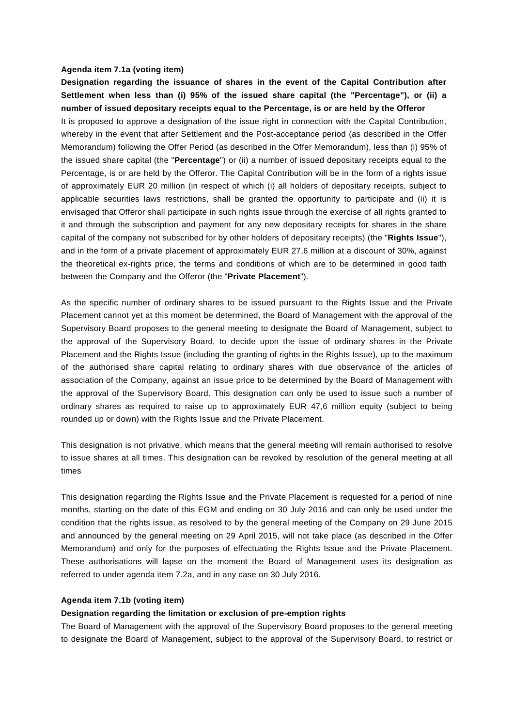#### **Agenda item 7.1a (voting item)**

**Designation regarding the issuance of shares in the event of the Capital Contribution after Settlement when less than (i) 95% of the issued share capital (the "Percentage"), or (ii) a number of issued depositary receipts equal to the Percentage, is or are held by the Offeror** It is proposed to approve a designation of the issue right in connection with the Capital Contribution, whereby in the event that after Settlement and the Post-acceptance period (as described in the Offer Memorandum) following the Offer Period (as described in the Offer Memorandum), less than (i) 95% of the issued share capital (the "**Percentage**") or (ii) a number of issued depositary receipts equal to the Percentage, is or are held by the Offeror. The Capital Contribution will be in the form of a rights issue of approximately EUR 20 million (in respect of which (i) all holders of depositary receipts, subject to applicable securities laws restrictions, shall be granted the opportunity to participate and (ii) it is envisaged that Offeror shall participate in such rights issue through the exercise of all rights granted to it and through the subscription and payment for any new depositary receipts for shares in the share capital of the company not subscribed for by other holders of depositary receipts) (the "**Rights Issue**"), and in the form of a private placement of approximately EUR 27,6 million at a discount of 30%, against the theoretical ex-rights price, the terms and conditions of which are to be determined in good faith between the Company and the Offeror (the "**Private Placement**").

As the specific number of ordinary shares to be issued pursuant to the Rights Issue and the Private Placement cannot yet at this moment be determined, the Board of Management with the approval of the Supervisory Board proposes to the general meeting to designate the Board of Management, subject to the approval of the Supervisory Board, to decide upon the issue of ordinary shares in the Private Placement and the Rights Issue (including the granting of rights in the Rights Issue), up to the maximum of the authorised share capital relating to ordinary shares with due observance of the articles of association of the Company, against an issue price to be determined by the Board of Management with the approval of the Supervisory Board. This designation can only be used to issue such a number of ordinary shares as required to raise up to approximately EUR 47,6 million equity (subject to being rounded up or down) with the Rights Issue and the Private Placement.

This designation is not privative, which means that the general meeting will remain authorised to resolve to issue shares at all times. This designation can be revoked by resolution of the general meeting at all times

This designation regarding the Rights Issue and the Private Placement is requested for a period of nine months, starting on the date of this EGM and ending on 30 July 2016 and can only be used under the condition that the rights issue, as resolved to by the general meeting of the Company on 29 June 2015 and announced by the general meeting on 29 April 2015, will not take place (as described in the Offer Memorandum) and only for the purposes of effectuating the Rights Issue and the Private Placement. These authorisations will lapse on the moment the Board of Management uses its designation as referred to under agenda item 7.2a, and in any case on 30 July 2016.

#### **Agenda item 7.1b (voting item)**

## **Designation regarding the limitation or exclusion of pre-emption rights**

The Board of Management with the approval of the Supervisory Board proposes to the general meeting to designate the Board of Management, subject to the approval of the Supervisory Board, to restrict or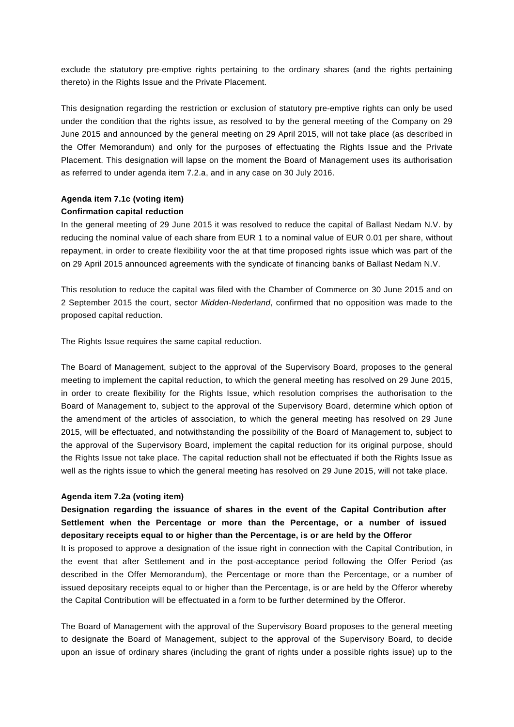exclude the statutory pre-emptive rights pertaining to the ordinary shares (and the rights pertaining thereto) in the Rights Issue and the Private Placement.

This designation regarding the restriction or exclusion of statutory pre-emptive rights can only be used under the condition that the rights issue, as resolved to by the general meeting of the Company on 29 June 2015 and announced by the general meeting on 29 April 2015, will not take place (as described in the Offer Memorandum) and only for the purposes of effectuating the Rights Issue and the Private Placement. This designation will lapse on the moment the Board of Management uses its authorisation as referred to under agenda item 7.2.a, and in any case on 30 July 2016.

## **Agenda item 7.1c (voting item) Confirmation capital reduction**

In the general meeting of 29 June 2015 it was resolved to reduce the capital of Ballast Nedam N.V. by reducing the nominal value of each share from EUR 1 to a nominal value of EUR 0.01 per share, without repayment, in order to create flexibility voor the at that time proposed rights issue which was part of the on 29 April 2015 announced agreements with the syndicate of financing banks of Ballast Nedam N.V.

This resolution to reduce the capital was filed with the Chamber of Commerce on 30 June 2015 and on 2 September 2015 the court, sector *Midden-Nederland*, confirmed that no opposition was made to the proposed capital reduction.

The Rights Issue requires the same capital reduction.

The Board of Management, subject to the approval of the Supervisory Board, proposes to the general meeting to implement the capital reduction, to which the general meeting has resolved on 29 June 2015, in order to create flexibility for the Rights Issue, which resolution comprises the authorisation to the Board of Management to, subject to the approval of the Supervisory Board, determine which option of the amendment of the articles of association, to which the general meeting has resolved on 29 June 2015, will be effectuated, and notwithstanding the possibility of the Board of Management to, subject to the approval of the Supervisory Board, implement the capital reduction for its original purpose, should the Rights Issue not take place. The capital reduction shall not be effectuated if both the Rights Issue as well as the rights issue to which the general meeting has resolved on 29 June 2015, will not take place.

## **Agenda item 7.2a (voting item)**

**Designation regarding the issuance of shares in the event of the Capital Contribution after Settlement when the Percentage or more than the Percentage, or a number of issued depositary receipts equal to or higher than the Percentage, is or are held by the Offeror**

It is proposed to approve a designation of the issue right in connection with the Capital Contribution, in the event that after Settlement and in the post-acceptance period following the Offer Period (as described in the Offer Memorandum), the Percentage or more than the Percentage, or a number of issued depositary receipts equal to or higher than the Percentage, is or are held by the Offeror whereby the Capital Contribution will be effectuated in a form to be further determined by the Offeror.

The Board of Management with the approval of the Supervisory Board proposes to the general meeting to designate the Board of Management, subject to the approval of the Supervisory Board, to decide upon an issue of ordinary shares (including the grant of rights under a possible rights issue) up to the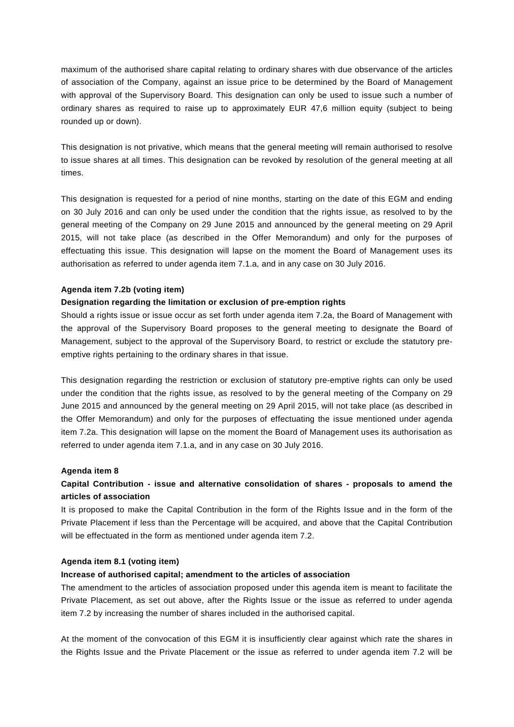maximum of the authorised share capital relating to ordinary shares with due observance of the articles of association of the Company, against an issue price to be determined by the Board of Management with approval of the Supervisory Board. This designation can only be used to issue such a number of ordinary shares as required to raise up to approximately EUR 47,6 million equity (subject to being rounded up or down).

This designation is not privative, which means that the general meeting will remain authorised to resolve to issue shares at all times. This designation can be revoked by resolution of the general meeting at all times.

This designation is requested for a period of nine months, starting on the date of this EGM and ending on 30 July 2016 and can only be used under the condition that the rights issue, as resolved to by the general meeting of the Company on 29 June 2015 and announced by the general meeting on 29 April 2015, will not take place (as described in the Offer Memorandum) and only for the purposes of effectuating this issue. This designation will lapse on the moment the Board of Management uses its authorisation as referred to under agenda item 7.1.a, and in any case on 30 July 2016.

## **Agenda item 7.2b (voting item)**

## **Designation regarding the limitation or exclusion of pre-emption rights**

Should a rights issue or issue occur as set forth under agenda item 7.2a, the Board of Management with the approval of the Supervisory Board proposes to the general meeting to designate the Board of Management, subject to the approval of the Supervisory Board, to restrict or exclude the statutory preemptive rights pertaining to the ordinary shares in that issue.

This designation regarding the restriction or exclusion of statutory pre-emptive rights can only be used under the condition that the rights issue, as resolved to by the general meeting of the Company on 29 June 2015 and announced by the general meeting on 29 April 2015, will not take place (as described in the Offer Memorandum) and only for the purposes of effectuating the issue mentioned under agenda item 7.2a. This designation will lapse on the moment the Board of Management uses its authorisation as referred to under agenda item 7.1.a, and in any case on 30 July 2016.

## **Agenda item 8**

## **Capital Contribution - issue and alternative consolidation of shares - proposals to amend the articles of association**

It is proposed to make the Capital Contribution in the form of the Rights Issue and in the form of the Private Placement if less than the Percentage will be acquired, and above that the Capital Contribution will be effectuated in the form as mentioned under agenda item 7.2.

## **Agenda item 8.1 (voting item)**

## **Increase of authorised capital; amendment to the articles of association**

The amendment to the articles of association proposed under this agenda item is meant to facilitate the Private Placement, as set out above, after the Rights Issue or the issue as referred to under agenda item 7.2 by increasing the number of shares included in the authorised capital.

At the moment of the convocation of this EGM it is insufficiently clear against which rate the shares in the Rights Issue and the Private Placement or the issue as referred to under agenda item 7.2 will be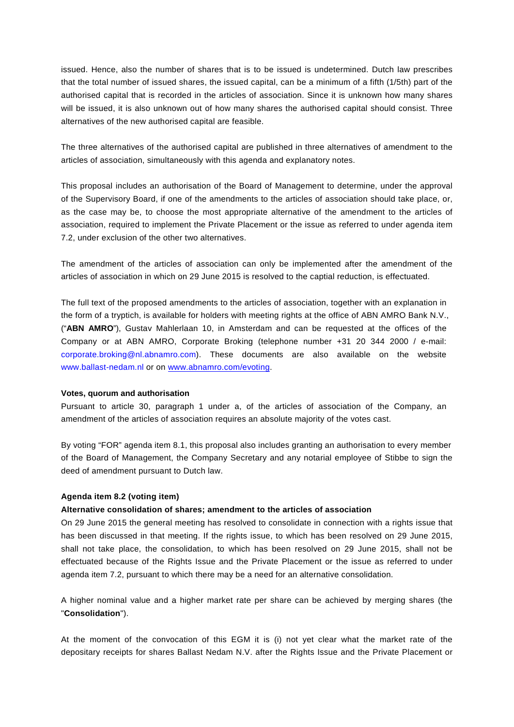issued. Hence, also the number of shares that is to be issued is undetermined. Dutch law prescribes that the total number of issued shares, the issued capital, can be a minimum of a fifth (1/5th) part of the authorised capital that is recorded in the articles of association. Since it is unknown how many shares will be issued, it is also unknown out of how many shares the authorised capital should consist. Three alternatives of the new authorised capital are feasible.

The three alternatives of the authorised capital are published in three alternatives of amendment to the articles of association, simultaneously with this agenda and explanatory notes.

This proposal includes an authorisation of the Board of Management to determine, under the approval of the Supervisory Board, if one of the amendments to the articles of association should take place, or, as the case may be, to choose the most appropriate alternative of the amendment to the articles of association, required to implement the Private Placement or the issue as referred to under agenda item 7.2, under exclusion of the other two alternatives.

The amendment of the articles of association can only be implemented after the amendment of the articles of association in which on 29 June 2015 is resolved to the captial reduction, is effectuated.

The full text of the proposed amendments to the articles of association, together with an explanation in the form of a tryptich, is available for holders with meeting rights at the office of ABN AMRO Bank N.V., ("**ABN AMRO**"), Gustav Mahlerlaan 10, in Amsterdam and can be requested at the offices of the Company or at ABN AMRO, Corporate Broking (telephone number +31 20 344 2000 / e-mail: corporate.broking@nl.abnamro.com). These documents are also available on the website www.ballast-nedam.nl or on [www.abnamro.com/evoting.](http://www.abnamro.com/evoting)

#### **Votes, quorum and authorisation**

Pursuant to article 30, paragraph 1 under a, of the articles of association of the Company, an amendment of the articles of association requires an absolute majority of the votes cast.

By voting "FOR" agenda item 8.1, this proposal also includes granting an authorisation to every member of the Board of Management, the Company Secretary and any notarial employee of Stibbe to sign the deed of amendment pursuant to Dutch law.

## **Agenda item 8.2 (voting item)**

#### **Alternative consolidation of shares; amendment to the articles of association**

On 29 June 2015 the general meeting has resolved to consolidate in connection with a rights issue that has been discussed in that meeting. If the rights issue, to which has been resolved on 29 June 2015, shall not take place, the consolidation, to which has been resolved on 29 June 2015, shall not be effectuated because of the Rights Issue and the Private Placement or the issue as referred to under agenda item 7.2, pursuant to which there may be a need for an alternative consolidation.

A higher nominal value and a higher market rate per share can be achieved by merging shares (the "**Consolidation**").

At the moment of the convocation of this EGM it is (i) not yet clear what the market rate of the depositary receipts for shares Ballast Nedam N.V. after the Rights Issue and the Private Placement or